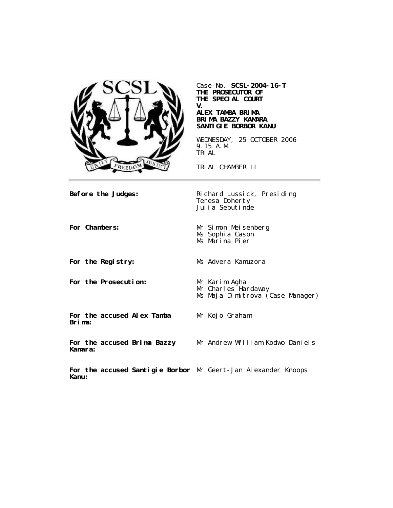

Case No. **SCSL-2004-16-T THE PROSECUTOR OF THE SPECIAL COURT V.**

### **ALEX TAMBA BRIMA BRIMA BAZZY KAMARA SANTIGIE BORBOR KANU**

WEDNESDAY, 25 OCTOBER 2006 9.15 A.M. TRIAL

TRIAL CHAMBER II

Teresa Doherty Julia Sebutinde

**Before the Judges:** Richard Lussick, Presiding

**For the Prosecution:** Mr Karim Agha

**For Chambers:** Mr Simon Meisenberg Ms Sophia Cason Ms Marina Pier

**For the Registry:** Ms Advera Kamuzora

Mr Kojo Graham

Mr Charles Hardaway

Ms Maja Dimitrova (Case Manager)

**For the accused Alex Tamba Brima:**

**For the accused Brima Bazzy Kamara:**

Mr Andrew William Kodwo Daniels

**For the accused Santigie Borbor** Mr Geert-Jan Alexander Knoops**Kanu:**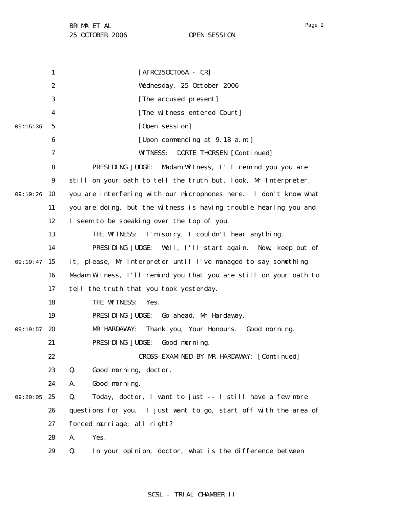1 2 3 4 5 6 7 8 9 09:19:26 10 11 12 13 14 09:19:47 15 16 17 18 19 09:19:57 20 21 22 23 24 09:20:05 25 26 27 28 29 09:15:35 [AFRC25OCT06A - CR] Wednesday, 25 October 2006 [The accused present] [The witness entered Court] [Open session] [Upon commencing at 9.18 a.m.] WITNESS: DORTE THORSEN [Continued] PRESIDING JUDGE: Madam Witness, I'll remind you you are still on your oath to tell the truth but, look, Mr Interpreter, you are interfering with our microphones here. I don't know what you are doing, but the witness is having trouble hearing you and I seem to be speaking over the top of you. THE WITNESS: I'm sorry, I couldn't hear anything. PRESIDING JUDGE: Well, I'll start again. Now, keep out of it, please, Mr Interpreter until I've managed to say something. Madam Witness, I'll remind you that you are still on your oath to tell the truth that you took yesterday. THE WITNESS: Yes. PRESIDING JUDGE: Go ahead, Mr Hardaway. MR HARDAWAY: Thank you, Your Honours. Good morning. PRESIDING JUDGE: Good morning. CROSS-EXAMINED BY MR HARDAWAY: [Continued] Q. Good morning, doctor. A. Good morning. Q. Today, doctor, I want to just -- I still have a few more questions for you. I just want to go, start off with the area of forced marriage; all right? A. Yes. Q. In your opinion, doctor, what is the difference between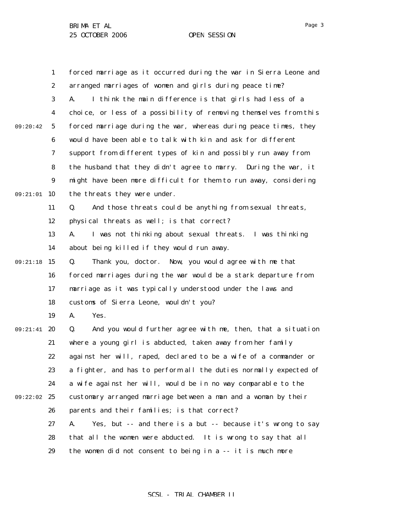1 2 3 4 5 6 7 8 9 09:21:01 10 11 12 13 14 09:21:18 15 16 17 18 19 09:21:41 20 21 22 23 24 09:22:02 25 26 27 28 29 09:20:42 forced marriage as it occurred during the war in Sierra Leone and arranged marriages of women and girls during peace time? A. I think the main difference is that girls had less of a choice, or less of a possibility of removing themselves from this forced marriage during the war, whereas during peace times, they would have been able to talk with kin and ask for different support from different types of kin and possibly run away from the husband that they didn't agree to marry. During the war, it might have been more difficult for them to run away, considering the threats they were under. Q. And those threats could be anything from sexual threats, physical threats as well; is that correct? A. I was not thinking about sexual threats. I was thinking about being killed if they would run away. Q. Thank you, doctor. Now, you would agree with me that forced marriages during the war would be a stark departure from marriage as it was typically understood under the laws and customs of Sierra Leone, wouldn't you? A. Yes. Q. And you would further agree with me, then, that a situation where a young girl is abducted, taken away from her family against her will, raped, declared to be a wife of a commander or a fighter, and has to perform all the duties normally expected of a wife against her will, would be in no way comparable to the customary arranged marriage between a man and a woman by their parents and their families; is that correct? A. Yes, but -- and there is a but -- because it's wrong to say that all the women were abducted. It is wrong to say that all the women did not consent to being in a -- it is much more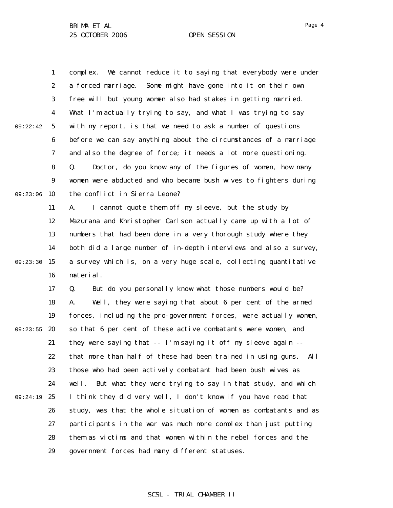1

complex. We cannot reduce it to saying that everybody were under

Page 4

2 3 4 5 6 7 8 9 09:23:06 10 11 12 13 14 09:23:30 15 16 17 18 19 09:23:55 20 21 22 23 24 09:24:19 25 26 27 28 29 09:22:42 a forced marriage. Some might have gone into it on their own free will but young women also had stakes in getting married. What I'm actually trying to say, and what I was trying to say with my report, is that we need to ask a number of questions before we can say anything about the circumstances of a marriage and also the degree of force; it needs a lot more questioning. Q. Doctor, do you know any of the figures of women, how many women were abducted and who became bush wives to fighters during the conflict in Sierra Leone? A. I cannot quote them off my sleeve, but the study by Mazurana and Khristopher Carlson actually came up with a lot of numbers that had been done in a very thorough study where they both did a large number of in-depth interviews and also a survey, a survey which is, on a very huge scale, collecting quantitative material. Q. But do you personally know what those numbers would be? A. Well, they were saying that about 6 per cent of the armed forces, including the pro-government forces, were actually women, so that 6 per cent of these active combatants were women, and they were saying that -- I'm saying it off my sleeve again - that more than half of these had been trained in using guns. All those who had been actively combatant had been bush wives as well. But what they were trying to say in that study, and which I think they did very well, I don't know if you have read that study, was that the whole situation of women as combatants and as participants in the war was much more complex than just putting them as victims and that women within the rebel forces and the government forces had many different statuses.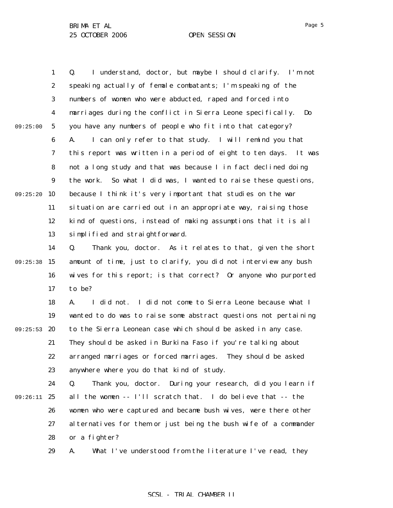1 2 3 4 5 6 7 8 9 09:25:20 10 11 12 13 14 09:25:38 15 16 17 18 19 09:25:53 20 21 22 23 24 09:26:11 25 26 27 09:25:00 Q. I understand, doctor, but maybe I should clarify. I'm not speaking actually of female combatants; I'm speaking of the numbers of women who were abducted, raped and forced into marriages during the conflict in Sierra Leone specifically. Do you have any numbers of people who fit into that category? A. I can only refer to that study. I will remind you that this report was written in a period of eight to ten days. It was not a long study and that was because I in fact declined doing the work. So what I did was, I wanted to raise these questions, because I think it's very important that studies on the war situation are carried out in an appropriate way, raising those kind of questions, instead of making assumptions that it is all simplified and straightforward. Q. Thank you, doctor. As it relates to that, given the short amount of time, just to clarify, you did not interview any bush wives for this report; is that correct? Or anyone who purported to be? A. I did not. I did not come to Sierra Leone because what I wanted to do was to raise some abstract questions not pertaining to the Sierra Leonean case which should be asked in any case. They should be asked in Burkina Faso if you're talking about arranged marriages or forced marriages. They should be asked anywhere where you do that kind of study. Q. Thank you, doctor. During your research, did you learn if all the women -- I'll scratch that. I do believe that -- the women who were captured and became bush wives, were there other alternatives for them or just being the bush wife of a commander

28 or a fighter?

29 A. What I've understood from the literature I've read, they

### Page 5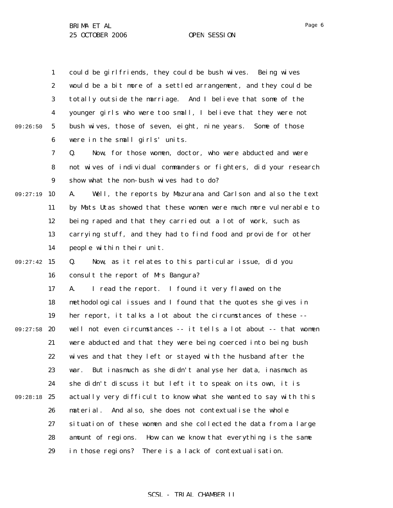1 2 3 4 5 6 7 8 9 09:27:19 10 11 12 13 14 09:27:42 15 16 17 18 19 09:27:58 20 21 22 23 24 09:28:18 25 26 27 28 29 09:26:50 could be girlfriends, they could be bush wives. Being wives would be a bit more of a settled arrangement, and they could be totally outside the marriage. And I believe that some of the younger girls who were too small, I believe that they were not bush wives, those of seven, eight, nine years. Some of those were in the small girls' units. Q. Now, for those women, doctor, who were abducted and were not wives of individual commanders or fighters, did your research show what the non-bush wives had to do? A. Well, the reports by Mazurana and Carlson and also the text by Mats Utas showed that these women were much more vulnerable to being raped and that they carried out a lot of work, such as carrying stuff, and they had to find food and provide for other people within their unit. Q. Now, as it relates to this particular issue, did you consult the report of Mrs Bangura? A. I read the report. I found it very flawed on the methodological issues and I found that the quotes she gives in her report, it talks a lot about the circumstances of these - well not even circumstances -- it tells a lot about -- that women were abducted and that they were being coerced into being bush wives and that they left or stayed with the husband after the war. But inasmuch as she didn't analyse her data, inasmuch as she didn't discuss it but left it to speak on its own, it is actually very difficult to know what she wanted to say with this material. And also, she does not contextualise the whole situation of these women and she collected the data from a large amount of regions. How can we know that everything is the same in those regions? There is a lack of contextualisation.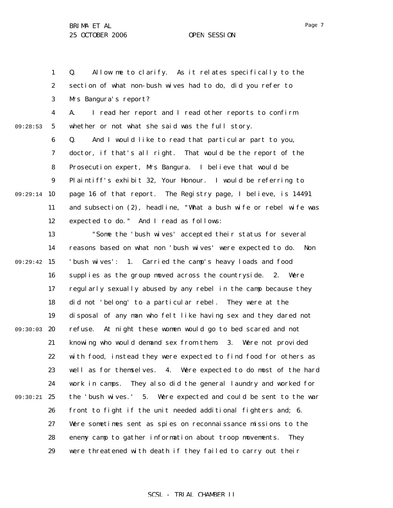1

2

Q. Allow me to clarify. As it relates specifically to the

section of what non-bush wives had to do, did you refer to

3 4 5 6 7 8 9 09:29:14 10 11 12 13 14 09:29:42 15 16 17 18 19 09:30:03 20 21 22 23 24 09:30:21 25 26 27 28 29 09:28:53 Mrs Bangura's report? A. I read her report and I read other reports to confirm whether or not what she said was the full story. Q. And I would like to read that particular part to you, doctor, if that's all right. That would be the report of the Prosecution expert, Mrs Bangura. I believe that would be Plaintiff's exhibit 32, Your Honour. I would be referring to page 16 of that report. The Registry page, I believe, is 14491 and subsection (2), headline, "What a bush wife or rebel wife was expected to do." And I read as follows: "Some the 'bush wives' accepted their status for several reasons based on what non 'bush wives' were expected to do. Non 'bush wives': 1. Carried the camp's heavy loads and food supplies as the group moved across the countryside. 2. Were regularly sexually abused by any rebel in the camp because they did not 'belong' to a particular rebel. They were at the disposal of any man who felt like having sex and they dared not refuse. At night these women would go to bed scared and not knowing who would demand sex from them. 3. Were not provided with food, instead they were expected to find food for others as well as for themselves. 4. Were expected to do most of the hard work in camps. They also did the general laundry and worked for the 'bush wives.' 5. Were expected and could be sent to the war front to fight if the unit needed additional fighters and; 6. Were sometimes sent as spies on reconnaissance missions to the enemy camp to gather information about troop movements. They were threatened with death if they failed to carry out their

# SCSL - TRIAL CHAMBER II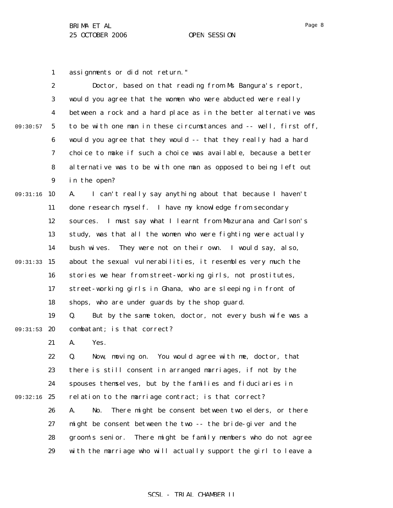Page 8

1 assignments or did not return."

|          | $\boldsymbol{2}$ | Doctor, based on that reading from Ms Bangura's report,           |
|----------|------------------|-------------------------------------------------------------------|
|          | 3                | would you agree that the women who were abducted were really      |
|          | $\boldsymbol{4}$ | between a rock and a hard place as in the better alternative was  |
| 09:30:57 | $\sqrt{5}$       | to be with one man in these circumstances and -- well, first off, |
|          | 6                | would you agree that they would -- that they really had a hard    |
|          | 7                | choice to make if such a choice was available, because a better   |
|          | 8                | alternative was to be with one man as opposed to being left out   |
|          | $\boldsymbol{9}$ | in the open?                                                      |
| 09:31:16 | 10               | I can't really say anything about that because I haven't<br>A.    |
|          | 11               | done research myself. I have my knowledge from secondary          |
|          | 12               | I must say what I learnt from Mazurana and Carlson's<br>sources.  |
|          | 13               | study, was that all the women who were fighting were actually     |
|          | 14               | bush wives.<br>They were not on their own. I would say, also,     |
| 09:31:33 | 15               | about the sexual vulnerabilities, it resembles very much the      |
|          | 16               | stories we hear from street-working girls, not prostitutes,       |
|          | 17               | street-working girls in Ghana, who are sleeping in front of       |
|          | 18               | shops, who are under guards by the shop guard.                    |
|          | 19               | Q.<br>But by the same token, doctor, not every bush wife was a    |
| 09:31:53 | 20               | combatant; is that correct?                                       |
|          | 21               | Yes.<br>A.                                                        |
|          | 22               | Now, moving on. You would agree with me, doctor, that<br>Q.       |
|          | 23               | there is still consent in arranged marriages, if not by the       |
|          | 24               | spouses themselves, but by the families and fiduciaries in        |
| 09:32:16 | 25               | relation to the marriage contract; is that correct?               |
|          | 26               | There might be consent between two elders, or there<br>A.<br>No.  |
|          | 27               | might be consent between the two -- the bride-giver and the       |
|          | 28               | There might be family members who do not agree<br>groom's senior. |
|          | 29               | with the marriage who will actually support the girl to leave a   |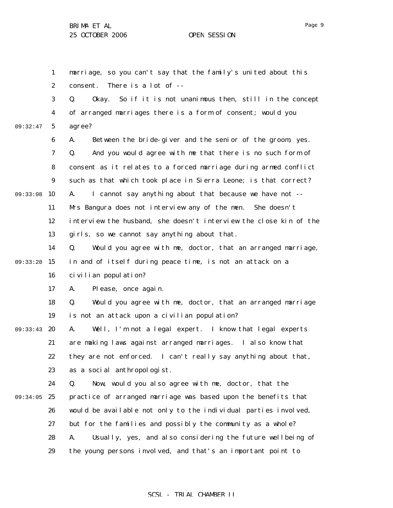1 2 3 4 5 6 7 8 9 09:33:08 10 11 12 13 14 09:33:28 15 16 17 18 19 09:33:43 20 21 22 23 24 09:34:05 25 26 27 28 29 09:32:47 marriage, so you can't say that the family's united about this consent. There is a lot of -- Q. Okay. So if it is not unanimous then, still in the concept of arranged marriages there is a form of consent; would you agree? A. Between the bride-giver and the senior of the groom, yes. Q. And you would agree with me that there is no such form of consent as it relates to a forced marriage during armed conflict such as that which took place in Sierra Leone; is that correct? A. I cannot say anything about that because we have not -- Mrs Bangura does not interview any of the men. She doesn't interview the husband, she doesn't interview the close kin of the girls, so we cannot say anything about that. Q. Would you agree with me, doctor, that an arranged marriage, in and of itself during peace time, is not an attack on a civilian population? A. Please, once again. Q. Would you agree with me, doctor, that an arranged marriage is not an attack upon a civilian population? A. Well, I'm not a legal expert. I know that legal experts are making laws against arranged marriages. I also know that they are not enforced. I can't really say anything about that, as a social anthropologist. Q. Now, would you also agree with me, doctor, that the practice of arranged marriage was based upon the benefits that would be available not only to the individual parties involved, but for the families and possibly the community as a whole? A. Usually, yes, and also considering the future wellbeing of the young persons involved, and that's an important point to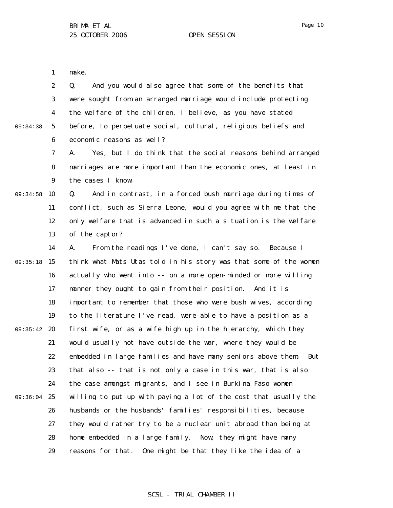1 make.

 $09:$ 

|         |                | And you would also agree that some of the benefits that        |
|---------|----------------|----------------------------------------------------------------|
|         |                | were sought from an arranged marriage would include protecting |
|         | $\overline{4}$ | the welfare of the children, I believe, as you have stated     |
| 34:38 5 |                | before, to perpetuate social, cultural, religious beliefs and  |
|         | 6              | economic reasons as well?                                      |

7 8 9 A. Yes, but I do think that the social reasons behind arranged marriages are more important than the economic ones, at least in the cases I know.

09:34:58 10 11 12 13 Q. And in contrast, in a forced bush marriage during times of conflict, such as Sierra Leone, would you agree with me that the only welfare that is advanced in such a situation is the welfare of the captor?

14 09:35:18 15 16 17 18 19 09:35:42 20 21 22 23 24 09:36:04 25 26 27 28 29 A. From the readings I've done, I can't say so. Because I think what Mats Utas told in his story was that some of the women actually who went into -- on a more open-minded or more willing manner they ought to gain from their position. And it is important to remember that those who were bush wives, according to the literature I've read, were able to have a position as a first wife, or as a wife high up in the hierarchy, which they would usually not have outside the war, where they would be embedded in large families and have many seniors above them. But that also -- that is not only a case in this war, that is also the case amongst migrants, and I see in Burkina Faso women willing to put up with paying a lot of the cost that usually the husbands or the husbands' families' responsibilities, because they would rather try to be a nuclear unit abroad than being at home embedded in a large family. Now, they might have many reasons for that. One might be that they like the idea of a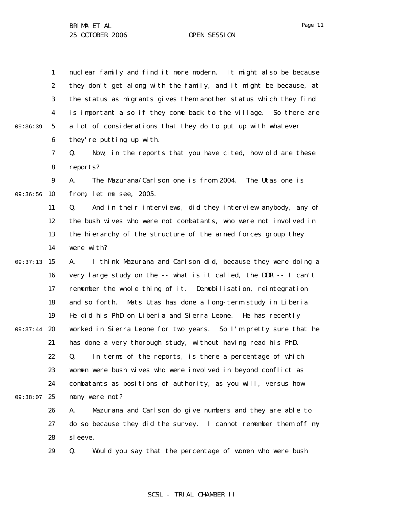1 2 3 4 5 6 09:36:39 nuclear family and find it more modern. It might also be because they don't get along with the family, and it might be because, at the status as migrants gives them another status which they find is important also if they come back to the village. So there are a lot of considerations that they do to put up with whatever they're putting up with.

> 7 8 Q. Now, in the reports that you have cited, how old are these reports?

9 09:36:56 10 A. The Mazurana/Carlson one is from 2004. The Utas one is from, let me see, 2005.

> 11 12 13 14 Q. And in their interviews, did they interview anybody, any of the bush wives who were not combatants, who were not involved in the hierarchy of the structure of the armed forces group they were with?

09:37:13 15 16 17 18 19 09:37:44 20 21 22 23 24 09:38:07 25 A. I think Mazurana and Carlson did, because they were doing a very large study on the -- what is it called, the DDR -- I can't remember the whole thing of it. Demobilisation, reintegration and so forth. Mats Utas has done a long-term study in Liberia. He did his PhD on Liberia and Sierra Leone. He has recently worked in Sierra Leone for two years. So I'm pretty sure that he has done a very thorough study, without having read his PhD. Q. In terms of the reports, is there a percentage of which women were bush wives who were involved in beyond conflict as combatants as positions of authority, as you will, versus how many were not?

> 26 27 28 A. Mazurana and Carlson do give numbers and they are able to do so because they did the survey. I cannot remember them off my sleeve.

29 Q. Would you say that the percentage of women who were bush

# Page 11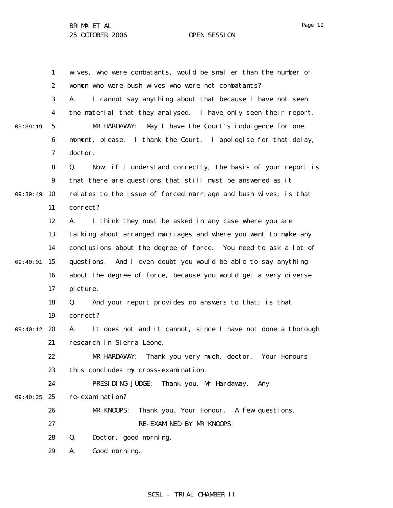1 2 3 4 5 6 7 8 9 09:39:49 10 11 12 13 14 09:40:01 15 16 17 18 19 09:40:12 20 21 22 23 24 09:40:25 25 26 27 28 29 09:39:19 wives, who were combatants, would be smaller than the number of women who were bush wives who were not combatants? A. I cannot say anything about that because I have not seen the material that they analysed. I have only seen their report. MR HARDAWAY: May I have the Court's indulgence for one moment, please. I thank the Court. I apologise for that delay, doctor. Q. Now, if I understand correctly, the basis of your report is that there are questions that still must be answered as it relates to the issue of forced marriage and bush wives; is that correct? A. I think they must be asked in any case where you are talking about arranged marriages and where you want to make any conclusions about the degree of force. You need to ask a lot of questions. And I even doubt you would be able to say anything about the degree of force, because you would get a very diverse picture. Q. And your report provides no answers to that; is that correct? A. It does not and it cannot, since I have not done a thorough research in Sierra Leone. MR HARDAWAY: Thank you very much, doctor. Your Honours, this concludes my cross-examination. PRESIDING JUDGE: Thank you, Mr Hardaway. Any re-examination? MR KNOOPS: Thank you, Your Honour. A few questions. RE-EXAMINED BY MR KNOOPS: Q. Doctor, good morning. A. Good morning.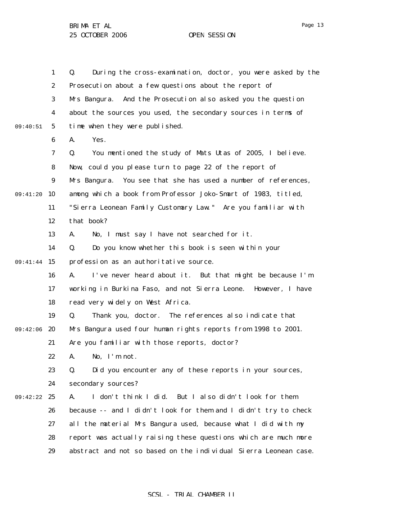|          | $\mathbf{1}$     | During the cross-examination, doctor, you were asked by the<br>Q. |
|----------|------------------|-------------------------------------------------------------------|
|          | $\boldsymbol{2}$ | Prosecution about a few questions about the report of             |
|          | $\boldsymbol{3}$ | Mrs Bangura. And the Prosecution also asked you the question      |
|          | 4                | about the sources you used, the secondary sources in terms of     |
| 09:40:51 | $\mathbf{5}$     | time when they were published.                                    |
|          | $\boldsymbol{6}$ | Yes.<br>A.                                                        |
|          | $\boldsymbol{7}$ | Q.<br>You mentioned the study of Mats Utas of 2005, I believe.    |
|          | 8                | Now, could you please turn to page 22 of the report of            |
|          | 9                | You see that she has used a number of references,<br>Mrs Bangura. |
| 09:41:20 | 10               | among which a book from Professor Joko-Smart of 1983, titled,     |
|          | 11               | "Sierra Leonean Family Customary Law." Are you familiar with      |
|          | 12               | that book?                                                        |
|          | 13               | No, I must say I have not searched for it.<br>A.                  |
|          | 14               | Do you know whether this book is seen within your<br>Q.           |
| 09:41:44 | 15               | profession as an authoritative source.                            |
|          | 16               | I've never heard about it. But that might be because I'm<br>A.    |
|          | 17               | working in Burkina Faso, and not Sierra Leone. However, I have    |
|          | 18               | read very widely on West Africa.                                  |
|          | 19               | Thank you, doctor. The references also indicate that<br>Q.        |
| 09:42:06 | 20               | Mrs Bangura used four human rights reports from 1998 to 2001.     |
|          | 21               | Are you familiar with those reports, doctor?                      |
|          | 22               | No, I'm not.<br>A.                                                |
|          | 23               | Did you encounter any of these reports in your sources,<br>Q.     |
|          | 24               | secondary sources?                                                |
| 09:42:22 | 25               | I don't think I did.<br>But I also didn't look for them<br>A.     |
|          | 26               | because -- and I didn't look for them and I didn't try to check   |
|          | 27               | all the material Mrs Bangura used, because what I did with my     |
|          | 28               | report was actually raising these questions which are much more   |
|          | 29               | abstract and not so based on the individual Sierra Leonean case.  |

# Page 13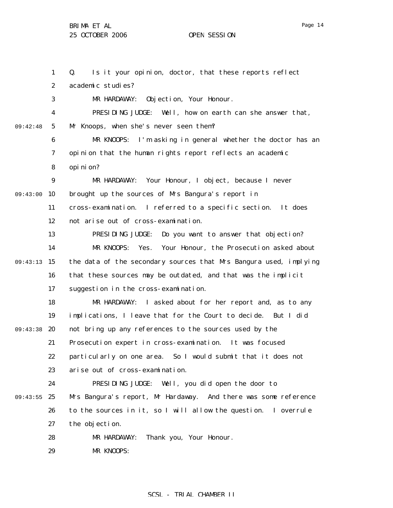1 2 3 4 5 6 7 8 9 09:43:00 10 11 12 13 14 09:43:13 15 16 17 18 19 09:43:38 20 21 22 23 24 09:43:55 25 26 27 28 29 09:42:48 Q. Is it your opinion, doctor, that these reports reflect academic studies? MR HARDAWAY: Objection, Your Honour. PRESIDING JUDGE: Well, how on earth can she answer that, Mr Knoops, when she's never seen them? MR KNOOPS: I'm asking in general whether the doctor has an opinion that the human rights report reflects an academic opinion? MR HARDAWAY: Your Honour, I object, because I never brought up the sources of Mrs Bangura's report in cross-examination. I referred to a specific section. It does not arise out of cross-examination. PRESIDING JUDGE: Do you want to answer that objection? MR KNOOPS: Yes. Your Honour, the Prosecution asked about the data of the secondary sources that Mrs Bangura used, implying that these sources may be outdated, and that was the implicit suggestion in the cross-examination. MR HARDAWAY: I asked about for her report and, as to any implications, I leave that for the Court to decide. But I did not bring up any references to the sources used by the Prosecution expert in cross-examination. It was focused particularly on one area. So I would submit that it does not arise out of cross-examination. PRESIDING JUDGE: Well, you did open the door to Mrs Bangura's report, Mr Hardaway. And there was some reference to the sources in it, so I will allow the question. I overrule the objection. MR HARDAWAY: Thank you, Your Honour. MR KNOOPS:

# SCSL - TRIAL CHAMBER II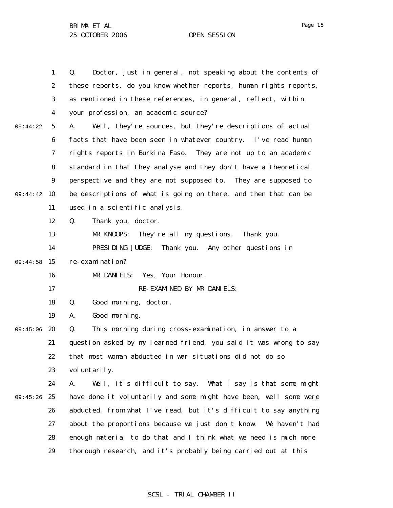1 2 3 4 5 6 7 8 9 09:44:42 10 11 12 13 14 09:44:58 15 16 17 18 19 09:45:06 20 21 22 23 24 09:45:26 25 26 27 28 29 09:44:22 Q. Doctor, just in general, not speaking about the contents of these reports, do you know whether reports, human rights reports, as mentioned in these references, in general, reflect, within your profession, an academic source? A. Well, they're sources, but they're descriptions of actual facts that have been seen in whatever country. I've read human rights reports in Burkina Faso. They are not up to an academic standard in that they analyse and they don't have a theoretical perspective and they are not supposed to. They are supposed to be descriptions of what is going on there, and then that can be used in a scientific analysis. Q. Thank you, doctor. MR KNOOPS: They're all my questions. Thank you. PRESIDING JUDGE: Thank you. Any other questions in re-examination? MR DANIELS: Yes, Your Honour. RE-EXAMINED BY MR DANIELS: Q. Good morning, doctor. A. Good morning. Q. This morning during cross-examination, in answer to a question asked by my learned friend, you said it was wrong to say that most woman abducted in war situations did not do so voluntarily. A. Well, it's difficult to say. What I say is that some might have done it voluntarily and some might have been, well some were abducted, from what I've read, but it's difficult to say anything about the proportions because we just don't know. We haven't had enough material to do that and I think what we need is much more thorough research, and it's probably being carried out at this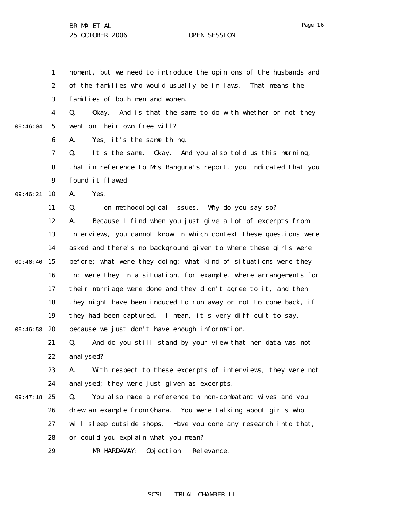1 2 3 4 5 6 7 8 9 09:46:21 10 11 12 13 14 09:46:40 15 16 17 18 19 09:46:58 20 21 22 23 24 09:47:18 25 26 27 28 29 09:46:04 moment, but we need to introduce the opinions of the husbands and of the families who would usually be in-laws. That means the families of both men and women. Q. Okay. And is that the same to do with whether or not they went on their own free will? A. Yes, it's the same thing. Q. It's the same. Okay. And you also told us this morning, that in reference to Mrs Bangura's report, you indicated that you found it flawed -- A. Yes. Q. -- on methodological issues. Why do you say so? A. Because I find when you just give a lot of excerpts from interviews, you cannot know in which context these questions were asked and there's no background given to where these girls were before; what were they doing; what kind of situations were they in; were they in a situation, for example, where arrangements for their marriage were done and they didn't agree to it, and then they might have been induced to run away or not to come back, if they had been captured. I mean, it's very difficult to say, because we just don't have enough information. Q. And do you still stand by your view that her data was not analysed? A. With respect to these excerpts of interviews, they were not analysed; they were just given as excerpts. Q. You also made a reference to non-combatant wives and you drew an example from Ghana. You were talking about girls who will sleep outside shops. Have you done any research into that, or could you explain what you mean? MR HARDAWAY: Objection. Relevance.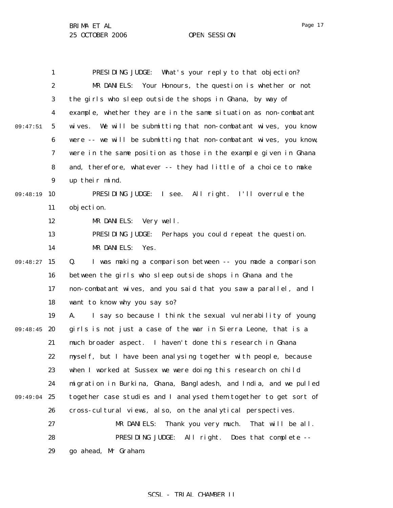1 2 3 4 5 6 7 8 9 09:48:19 10 11 12 13 14 09:48:27 15 16 17 18 19 09:48:45 20 21 22 23 24 09:49:04 25 26 27 28 29 09:47:51 PRESIDING JUDGE: What's your reply to that objection? MR DANIELS: Your Honours, the question is whether or not the girls who sleep outside the shops in Ghana, by way of example, whether they are in the same situation as non-combatant wives. We will be submitting that non-combatant wives, you know were -- we will be submitting that non-combatant wives, you know, were in the same position as those in the example given in Ghana and, therefore, whatever -- they had little of a choice to make up their mind. PRESIDING JUDGE: I see. All right. I'll overrule the objection. MR DANIELS: Very well. PRESIDING JUDGE: Perhaps you could repeat the question. MR DANIELS: Yes. Q. I was making a comparison between -- you made a comparison between the girls who sleep outside shops in Ghana and the non-combatant wives, and you said that you saw a parallel, and I want to know why you say so? A. I say so because I think the sexual vulnerability of young girls is not just a case of the war in Sierra Leone, that is a much broader aspect. I haven't done this research in Ghana myself, but I have been analysing together with people, because when I worked at Sussex we were doing this research on child migration in Burkina, Ghana, Bangladesh, and India, and we pulled together case studies and I analysed them together to get sort of cross-cultural views, also, on the analytical perspectives. MR DANIELS: Thank you very much. That will be all. PRESIDING JUDGE: All right. Does that complete - go ahead, Mr Graham.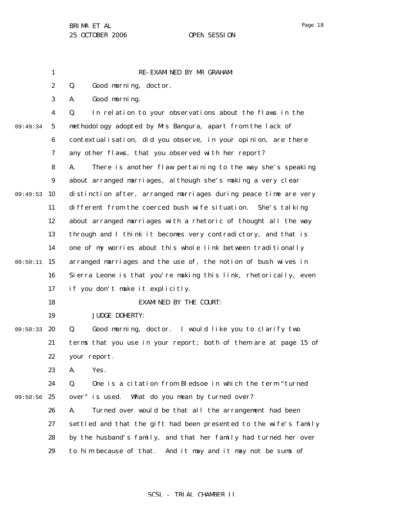1 2 3 4 5 6 7 8 9 09:49:53 10 11 12 13 14 09:50:11 15 16 17 18 19 09:50:33 20 21 22 23 24 09:50:56 25 26 27 28 29 09:49:34 RE-EXAMINED BY MR GRAHAM: Q. Good morning, doctor. A. Good morning. Q. In relation to your observations about the flaws in the methodology adopted by Mrs Bangura, apart from the lack of contextualisation, did you observe, in your opinion, are there any other flaws, that you observed with her report? A. There is another flaw pertaining to the way she's speaking about arranged marriages, although she's making a very clear distinction after, arranged marriages during peace time are very different from the coerced bush wife situation. She's talking about arranged marriages with a rhetoric of thought all the way through and I think it becomes very contradictory, and that is one of my worries about this whole link between traditionally arranged marriages and the use of, the notion of bush wives in Sierra Leone is that you're making this link, rhetorically, even if you don't make it explicitly. EXAMINED BY THE COURT: JUDGE DOHERTY: Q. Good morning, doctor. I would like you to clarify two terms that you use in your report; both of them are at page 15 of your report. A. Yes. Q. One is a citation from Bledsoe in which the term "turned over" is used. What do you mean by turned over? A. Turned over would be that all the arrangement had been settled and that the gift had been presented to the wife's family by the husband's family, and that her family had turned her over to him because of that. And it may and it may not be sums of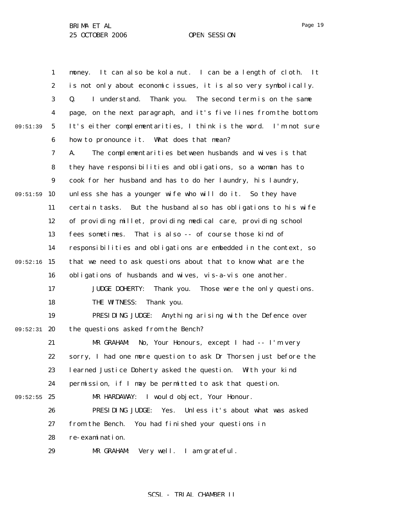1 2 3 4 5 6 7 8 9 09:51:59 10 11 12 13 14 09:52:16 15 16 17 18 19 09:52:31 20 21 22 23 24 09:52:55 25 26 27 28 29 09:51:39 money. It can also be kola nut. I can be a length of cloth. It is not only about economic issues, it is also very symbolically. Q. I understand. Thank you. The second term is on the same page, on the next paragraph, and it's five lines from the bottom. It's either complementarities, I think is the word. I'm not sure how to pronounce it. What does that mean? A. The complementarities between husbands and wives is that they have responsibilities and obligations, so a woman has to cook for her husband and has to do her laundry, his laundry, unless she has a younger wife who will do it. So they have certain tasks. But the husband also has obligations to his wife of providing millet, providing medical care, providing school fees sometimes. That is also -- of course those kind of responsibilities and obligations are embedded in the context, so that we need to ask questions about that to know what are the obligations of husbands and wives, vis-a-vis one another. JUDGE DOHERTY: Thank you. Those were the only questions. THE WITNESS: Thank you. PRESIDING JUDGE: Anything arising with the Defence over the questions asked from the Bench? MR GRAHAM: No, Your Honours, except I had -- I'm very sorry, I had one more question to ask Dr Thorsen just before the learned Justice Doherty asked the question. With your kind permission, if I may be permitted to ask that question. MR HARDAWAY: I would object, Your Honour. PRESIDING JUDGE: Yes. Unless it's about what was asked from the Bench. You had finished your questions in re-examination. MR GRAHAM: Very well. I am grateful.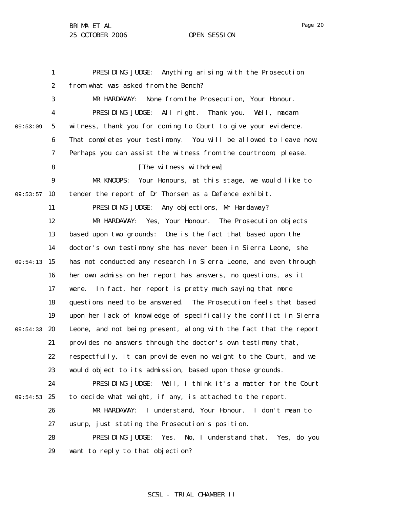1 2 3 4 5 6 7 8 9 09:53:57 10 11 12 13 14 09:54:13 15 16 17 18 19 09:54:33 20 21 22 23 24 09:54:53 25 26 27 28 29 09:53:09 PRESIDING JUDGE: Anything arising with the Prosecution from what was asked from the Bench? MR HARDAWAY: None from the Prosecution, Your Honour. PRESIDING JUDGE: All right. Thank you. Well, madam witness, thank you for coming to Court to give your evidence. That completes your testimony. You will be allowed to leave now. Perhaps you can assist the witness from the courtroom, please. [The witness withdrew] MR KNOOPS: Your Honours, at this stage, we would like to tender the report of Dr Thorsen as a Defence exhibit. PRESIDING JUDGE: Any objections, Mr Hardaway? MR HARDAWAY: Yes, Your Honour. The Prosecution objects based upon two grounds: One is the fact that based upon the doctor's own testimony she has never been in Sierra Leone, she has not conducted any research in Sierra Leone, and even through her own admission her report has answers, no questions, as it were. In fact, her report is pretty much saying that more questions need to be answered. The Prosecution feels that based upon her lack of knowledge of specifically the conflict in Sierra Leone, and not being present, along with the fact that the report provides no answers through the doctor's own testimony that, respectfully, it can provide even no weight to the Court, and we would object to its admission, based upon those grounds. PRESIDING JUDGE: Well, I think it's a matter for the Court to decide what weight, if any, is attached to the report. MR HARDAWAY: I understand, Your Honour. I don't mean to usurp, just stating the Prosecution's position. PRESIDING JUDGE: Yes. No, I understand that. Yes, do you want to reply to that objection?

# SCSL - TRIAL CHAMBER II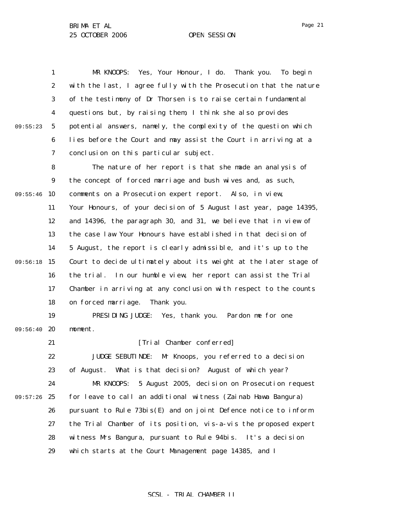1 2 3 4 5 6 7 8 9 09:55:46 10 11 12 13 14 09:56:18 15 16 17 18 19 09:56:40 20 21 22 23 24 09:57:26 25 26 27 28 29 09:55:23 MR KNOOPS: Yes, Your Honour, I do. Thank you. To begin with the last, I agree fully with the Prosecution that the nature of the testimony of Dr Thorsen is to raise certain fundamental questions but, by raising them, I think she also provides potential answers, namely, the complexity of the question which lies before the Court and may assist the Court in arriving at a conclusion on this particular subject. The nature of her report is that she made an analysis of the concept of forced marriage and bush wives and, as such, comments on a Prosecution expert report. Also, in view, Your Honours, of your decision of 5 August last year, page 14395, and 14396, the paragraph 30, and 31, we believe that in view of the case law Your Honours have established in that decision of 5 August, the report is clearly admissible, and it's up to the Court to decide ultimately about its weight at the later stage of the trial. In our humble view, her report can assist the Trial Chamber in arriving at any conclusion with respect to the counts on forced marriage. Thank you. PRESIDING JUDGE: Yes, thank you. Pardon me for one moment. [Trial Chamber conferred] JUDGE SEBUTINDE: Mr Knoops, you referred to a decision of August. What is that decision? August of which year? MR KNOOPS: 5 August 2005, decision on Prosecution request for leave to call an additional witness (Zainab Hawa Bangura) pursuant to Rule 73*bis*(E) and on joint Defence notice to inform the Trial Chamber of its position, vis-a-vis the proposed expert witness Mrs Bangura, pursuant to Rule 94*bis*. It's a decision which starts at the Court Management page 14385, and I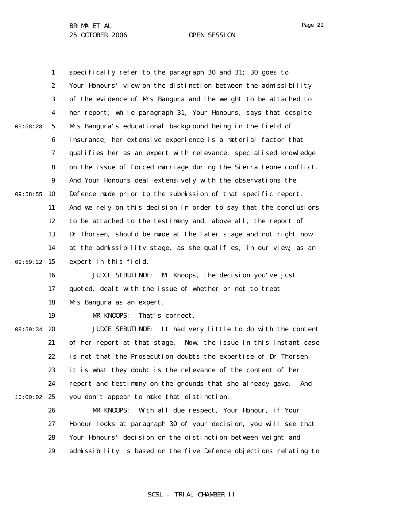1 2 3 4 5 6 7 8 9 09:58:55 10 11 12 13 14 09:59:22 15 16 17 18 19 09:59:34 20 21 22 23 24  $10:00:02$  25 26 27 28 09:58:28 specifically refer to the paragraph 30 and 31; 30 goes to Your Honours' view on the distinction between the admissibility of the evidence of Mrs Bangura and the weight to be attached to her report; while paragraph 31, Your Honours, says that despite Mrs Bangura's educational background being in the field of insurance, her extensive experience is a material factor that qualifies her as an expert with relevance, specialised knowledge on the issue of forced marriage during the Sierra Leone conflict. And Your Honours deal extensively with the observations the Defence made prior to the submission of that specific report. And we rely on this decision in order to say that the conclusions to be attached to the testimony and, above all, the report of Dr Thorsen, should be made at the later stage and not right now at the admissibility stage, as she qualifies, in our view, as an expert in this field. JUDGE SEBUTINDE: Mr Knoops, the decision you've just quoted, dealt with the issue of whether or not to treat Mrs Bangura as an expert. MR KNOOPS: That's correct. JUDGE SEBUTINDE: It had very little to do with the content of her report at that stage. Now, the issue in this instant case is not that the Prosecution doubts the expertise of Dr Thorsen, it is what they doubt is the relevance of the content of her report and testimony on the grounds that she already gave. And you don't appear to make that distinction. MR KNOOPS: With all due respect, Your Honour, if Your Honour looks at paragraph 30 of your decision, you will see that Your Honours' decision on the distinction between weight and

> 29 admissibility is based on the five Defence objections relating to

Page 22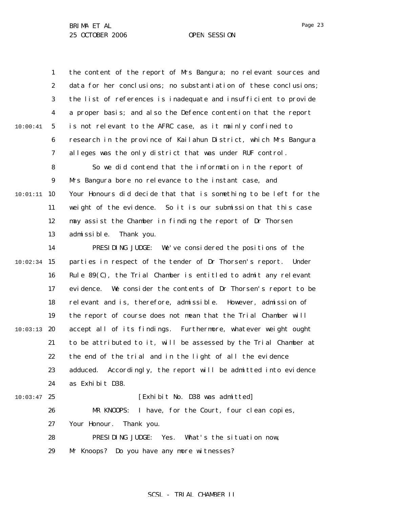Page 23

1 2 3 4 5 6 7 8 9 10 10:01:11 11 12 13 14  $10:02:34$  15 16 17 18 19  $10:03:13$  20 21 22 23 24  $10:03:47$  25 26 27 28 29 10:00:41 the content of the report of Mrs Bangura; no relevant sources and data for her conclusions; no substantiation of these conclusions; the list of references is inadequate and insufficient to provide a proper basis; and also the Defence contention that the report is not relevant to the AFRC case, as it mainly confined to research in the province of Kailahun District, which Mrs Bangura alleges was the only district that was under RUF control. So we did contend that the information in the report of Mrs Bangura bore no relevance to the instant case, and Your Honours did decide that that is something to be left for the weight of the evidence. So it is our submission that this case may assist the Chamber in finding the report of Dr Thorsen admissible. Thank you. PRESIDING JUDGE: We've considered the positions of the parties in respect of the tender of Dr Thorsen's report. Under Rule 89(C), the Trial Chamber is entitled to admit any relevant evidence. We consider the contents of Dr Thorsen's report to be relevant and is, therefore, admissible. However, admission of the report of course does not mean that the Trial Chamber will accept all of its findings. Furthermore, whatever weight ought to be attributed to it, will be assessed by the Trial Chamber at the end of the trial and in the light of all the evidence adduced. Accordingly, the report will be admitted into evidence as Exhibit D38. [Exhibit No. D38 was admitted] MR KNOOPS: I have, for the Court, four clean copies, Your Honour. Thank you. PRESIDING JUDGE: Yes. What's the situation now, Mr Knoops? Do you have any more witnesses?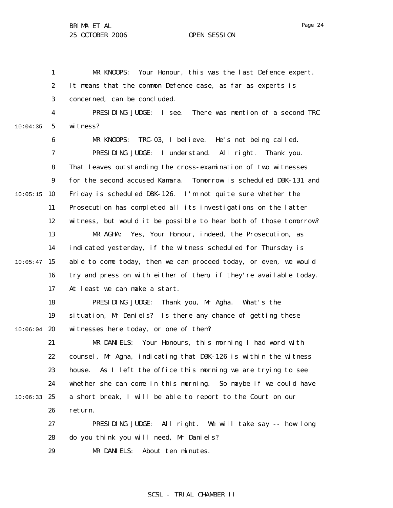1 2 3 4 5 6 7 8 9  $10:05:15$  10 11 12 13 14  $10:05:47$  15 16 17 18 19  $10:06:04$  20 21 22 23 24 10:06:33 25 26 27 28 29 10:04:35 MR KNOOPS: Your Honour, this was the last Defence expert. It means that the common Defence case, as far as experts is concerned, can be concluded. PRESIDING JUDGE: I see. There was mention of a second TRC witness? MR KNOOPS: TRC-03, I believe. He's not being called. PRESIDING JUDGE: I understand. All right. Thank you. That leaves outstanding the cross-examination of two witnesses for the second accused Kamara. Tomorrow is scheduled DBK-131 and Friday is scheduled DBK-126. I'm not quite sure whether the Prosecution has completed all its investigations on the latter witness, but would it be possible to hear both of those tomorrow? MR AGHA: Yes, Your Honour, indeed, the Prosecution, as indicated yesterday, if the witness scheduled for Thursday is able to come today, then we can proceed today, or even, we would try and press on with either of them, if they're available today. At least we can make a start. PRESIDING JUDGE: Thank you, Mr Agha. What's the situation, Mr Daniels? Is there any chance of getting these witnesses here today, or one of them? MR DANIELS: Your Honours, this morning I had word with counsel, Mr Agha, indicating that DBK-126 is within the witness house. As I left the office this morning we are trying to see whether she can come in this morning. So maybe if we could have a short break, I will be able to report to the Court on our return. PRESIDING JUDGE: All right. We will take say -- how long do you think you will need, Mr Daniels? MR DANIELS: About ten minutes.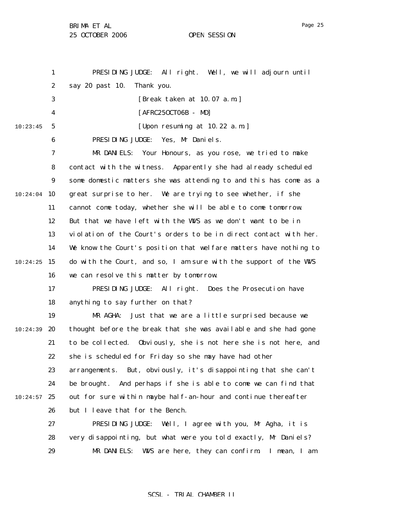BRIMA ET AL

25 OCTOBER 2006 OPEN SESSION

1 2 3 4 5 6 7 8 9 10:24:04 10 11 12 13 14  $10:24:25$  15 16 17 18 19  $10:24:39$  20 21 22 23 24  $10:24:57$  25 26 27 28 29 10:23:45 PRESIDING JUDGE: All right. Well, we will adjourn until say 20 past 10. Thank you. [Break taken at 10.07 a.m.] [AFRC25OCT06B - MD] [Upon resuming at 10.22 a.m.] PRESIDING JUDGE: Yes, Mr Daniels. MR DANIELS: Your Honours, as you rose, we tried to make contact with the witness. Apparently she had already scheduled some domestic matters she was attending to and this has come as a great surprise to her. We are trying to see whether, if she cannot come today, whether she will be able to come tomorrow. But that we have left with the WVS as we don't want to be in violation of the Court's orders to be in direct contact with her. We know the Court's position that welfare matters have nothing to do with the Court, and so, I am sure with the support of the WVS we can resolve this matter by tomorrow. PRESIDING JUDGE: All right. Does the Prosecution have anything to say further on that? MR AGHA: Just that we are a little surprised because we thought before the break that she was available and she had gone to be collected. Obviously, she is not here she is not here, and she is scheduled for Friday so she may have had other arrangements. But, obviously, it's disappointing that she can't be brought. And perhaps if she is able to come we can find that out for sure within maybe half-an-hour and continue thereafter but I leave that for the Bench. PRESIDING JUDGE: Well, I agree with you, Mr Agha, it is very disappointing, but what were you told exactly, Mr Daniels? MR DANIELS: WVS are here, they can confirm. I mean, I am

# SCSL - TRIAL CHAMBER II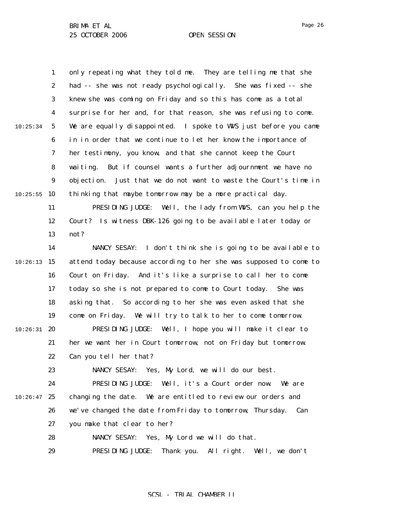1 2 3 4 5 6 7 8 9  $10:25:55$  10 11 12 13 14  $10:26:13$  15 16 17 18 19  $10:26:31$  20 21 22 23 24  $10:26:47$  25 26 27 28 29 10:25:34 only repeating what they told me. They are telling me that she had -- she was not ready psychologically. She was fixed -- she knew she was coming on Friday and so this has come as a total surprise for her and, for that reason, she was refusing to come. We are equally disappointed. I spoke to WWS just before you came in in order that we continue to let her know the importance of her testimony, you know, and that she cannot keep the Court waiting. But if counsel wants a further adjournment we have no objection. Just that we do not want to waste the Court's time in thinking that maybe tomorrow may be a more practical day. PRESIDING JUDGE: Well, the lady from WWS, can you help the Court? Is witness DBK-126 going to be available later today or not? NANCY SESAY: I don't think she is going to be available to attend today because according to her she was supposed to come to Court on Friday. And it's like a surprise to call her to come today so she is not prepared to come to Court today. She was asking that. So according to her she was even asked that she come on Friday. We will try to talk to her to come tomorrow. PRESIDING JUDGE: Well, I hope you will make it clear to her we want her in Court tomorrow, not on Friday but tomorrow. Can you tell her that? NANCY SESAY: Yes, My Lord, we will do our best. PRESIDING JUDGE: Well, it's a Court order now. We are changing the date. We are entitled to review our orders and we've changed the date from Friday to tomorrow, Thursday. Can you make that clear to her? NANCY SESAY: Yes, My Lord we will do that. PRESIDING JUDGE: Thank you. All right. Well, we don't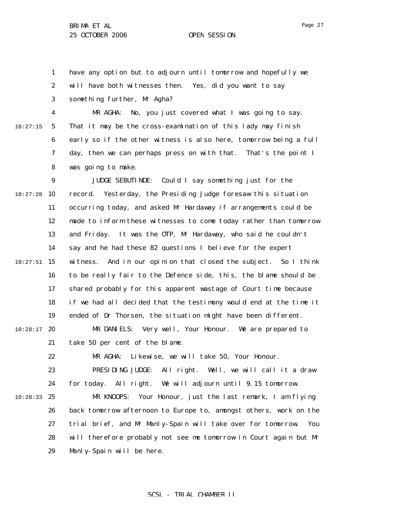1 2 3 have any option but to adjourn until tomorrow and hopefully we will have both witnesses then. Yes, did you want to say something further, Mr Agha?

10:27:15

22

4 5 6 7 8 MR AGHA: No, you just covered what I was going to say. That it may be the cross-examination of this lady may finish early so if the other witness is also here, tomorrow being a full day, then we can perhaps press on with that. That's the point I was going to make.

9  $10:27:28$  10 11 12 13 14  $10:27:51$  15 16 17 18 19  $10:28:17$  20 21 JUDGE SEBUTINDE: Could I say something just for the record. Yesterday, the Presiding Judge foresaw this situation occurring today, and asked Mr Hardaway if arrangements could be made to inform these witnesses to come today rather than tomorrow and Friday. It was the OTP, Mr Hardaway, who said he couldn't say and he had these 82 questions I believe for the expert witness. And in our opinion that closed the subject. So I think to be really fair to the Defence side, this, the blame should be shared probably for this apparent wastage of Court time because if we had all decided that the testimony would end at the time it ended of Dr Thorsen, the situation might have been different. MR DANIELS: Very well, Your Honour. We are prepared to take 50 per cent of the blame.

MR AGHA: Likewise, we will take 50, Your Honour.

23 24 PRESIDING JUDGE: All right. Well, we will call it a draw for today. All right. We will adjourn until 9.15 tomorrow.

10:28:33 25 26 27 28 29 MR KNOOPS: Your Honour, just the last remark, I am flying back tomorrow afternoon to Europe to, amongst others, work on the trial brief, and Mr Manly-Spain will take over for tomorrow. You will therefore probably not see me tomorrow in Court again but Mr Manly-Spain will be here.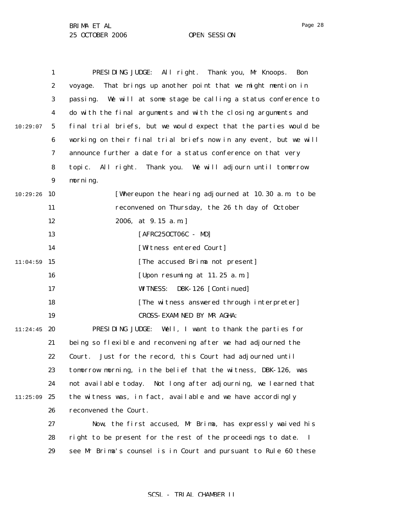1 2 3 4 5 6 7 8 9 10:29:26 10 11 12 13 14  $11:04:59$  15 16 17 18 19  $11:24:45$  20 21 22 23 24  $11:25:09$  25 26 27 28 29 10:29:07 PRESIDING JUDGE: All right. Thank you, Mr Knoops. Bon voyage. That brings up another point that we might mention in passing. We will at some stage be calling a status conference to do with the final arguments and with the closing arguments and final trial briefs, but we would expect that the parties would be working on their final trial briefs now in any event, but we will announce further a date for a status conference on that very topic. All right. Thank you. We will adjourn until tomorrow morning. [Whereupon the hearing adjourned at 10.30 a.m. to be reconvened on Thursday, the 26 th day of October 2006, at 9.15 a.m.] [AFRC25OCT06C - MD] [Witness entered Court] [The accused Brima not present] [Upon resuming at 11.25 a.m.] WITNESS: DBK-126 [Continued] [The witness answered through interpreter] CROSS-EXAMINED BY MR AGHA: PRESIDING JUDGE: Well, I want to thank the parties for being so flexible and reconvening after we had adjourned the Court. Just for the record, this Court had adjourned until tomorrow morning, in the belief that the witness, DBK-126, was not available today. Not long after adjourning, we learned that the witness was, in fact, available and we have accordingly reconvened the Court. Now, the first accused, Mr Brima, has expressly waived his right to be present for the rest of the proceedings to date. I see Mr Brima's counsel is in Court and pursuant to Rule 60 these

Page 28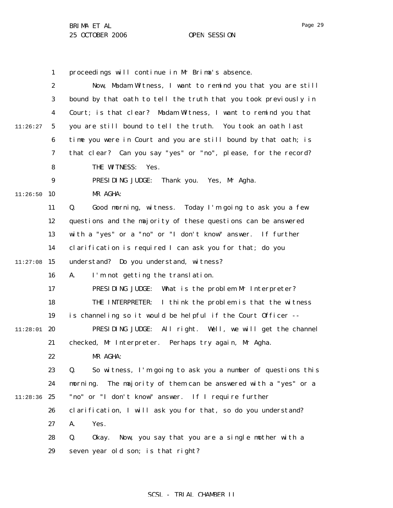1

2 3 4 5 6 7 8 9  $11:26:50$  10 11 12 13 14  $11:27:08$  15 16 17 18 19  $11:28:01$  20 21 22 23 24 11:28:36 25 26 27 11:26:27 Now, Madam Witness, I want to remind you that you are still bound by that oath to tell the truth that you took previously in Court; is that clear? Madam Witness, I want to remind you that you are still bound to tell the truth. You took an oath last time you were in Court and you are still bound by that oath; is that clear? Can you say "yes" or "no", please, for the record? THE WITNESS: Yes. PRESIDING JUDGE: Thank you. Yes, Mr Agha. MR AGHA: Q. Good morning, witness. Today I'm going to ask you a few questions and the majority of these questions can be answered with a "yes" or a "no" or "I don't know" answer. If further clarification is required I can ask you for that; do you understand? Do you understand, witness? A. I'm not getting the translation. PRESIDING JUDGE: What is the problem Mr Interpreter? THE INTERPRETER: I think the problem is that the witness is channeling so it would be helpful if the Court Officer -- PRESIDING JUDGE: All right. Well, we will get the channel checked, Mr Interpreter. Perhaps try again, Mr Agha. MR AGHA: Q. So witness, I'm going to ask you a number of questions this morning. The majority of them can be answered with a "yes" or a "no" or "I don't know" answer. If I require further clarification, I will ask you for that, so do you understand? A. Yes.

proceedings will continue in Mr Brima's absence.

28 29 Q. Okay. Now, you say that you are a single mother with a seven year old son; is that right?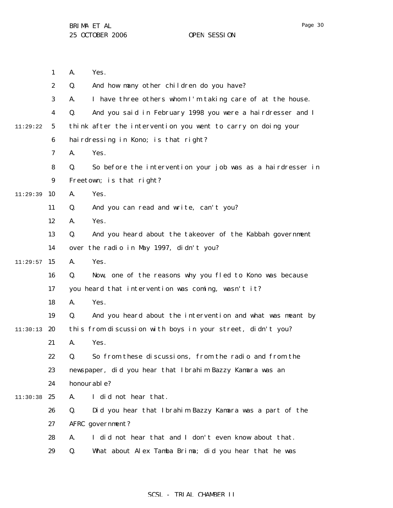|          | $\mathbf{1}$     | Yes.<br>A.                                                        |
|----------|------------------|-------------------------------------------------------------------|
|          | $\boldsymbol{2}$ | And how many other children do you have?<br>Q.                    |
|          | 3                | I have three others whom I'm taking care of at the house.<br>A.   |
|          | 4                | Q.<br>And you said in February 1998 you were a hairdresser and I  |
| 11:29:22 | 5                | think after the intervention you went to carry on doing your      |
|          | 6                | hairdressing in Kono; is that right?                              |
|          | 7                | A.<br>Yes.                                                        |
|          | 8                | So before the intervention your job was as a hairdresser in<br>Q. |
|          | 9                | Freetown; is that right?                                          |
| 11:29:39 | 10               | A.<br>Yes.                                                        |
|          | 11               | Q.<br>And you can read and write, can't you?                      |
|          | 12               | Yes.<br>A.                                                        |
|          | 13               | And you heard about the takeover of the Kabbah government<br>Q.   |
|          | 14               | over the radio in May 1997, didn't you?                           |
| 11:29:57 | 15               | Yes.<br>A.                                                        |
|          | 16               | Q.<br>Now, one of the reasons why you fled to Kono was because    |
|          | 17               | you heard that intervention was coming, wasn't it?                |
|          | 18               | Yes.<br>A.                                                        |
|          | 19               | And you heard about the intervention and what was meant by<br>Q.  |
| 11:30:13 | 20               | this from discussion with boys in your street, didn't you?        |
|          | 21               | A.<br>Yes.                                                        |
|          | 22               | So from these discussions, from the radio and from the<br>Q.      |
|          | 23               | newspaper, did you hear that Ibrahim Bazzy Kamara was an          |
|          | 24               | honourable?                                                       |
| 11:30:38 | 25               | I did not hear that.<br>A.                                        |
|          | 26               | Q.<br>Did you hear that Ibrahim Bazzy Kamara was a part of the    |
|          | 27               | AFRC government?                                                  |
|          | 28               | I did not hear that and I don't even know about that.<br>A.       |
|          | 29               | Q.<br>What about Alex Tamba Brima; did you hear that he was       |
|          |                  |                                                                   |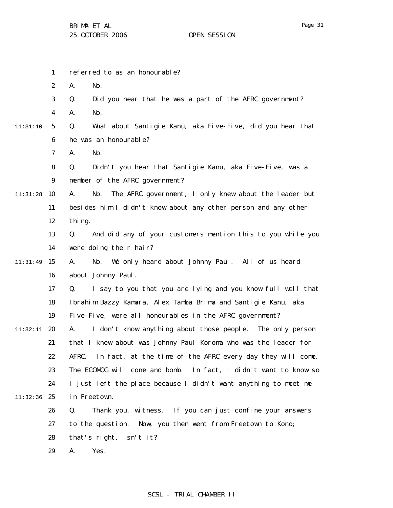1 2 3 4 5 6 7 8 9 11:31:28 10 11 12 13 14 11:31:49 15 16 17 18 19 11:32:11 **20** 21 22 23 24 11:32:36 25 26 27 28 29 11:31:10 referred to as an honourable? A. No. Q. Did you hear that he was a part of the AFRC government? A. No. Q. What about Santigie Kanu, aka Five-Five, did you hear that he was an honourable? A. No. Q. Didn't you hear that Santigie Kanu, aka Five-Five, was a member of the AFRC government? A. No. The AFRC government, I only knew about the leader but besides him I didn't know about any other person and any other thing. Q. And did any of your customers mention this to you while you were doing their hair? A. No. We only heard about Johnny Paul. All of us heard about Johnny Paul. Q. I say to you that you are lying and you know full well that Ibrahim Bazzy Kamara, Alex Tamba Brima and Santigie Kanu, aka Five-Five, were all honourables in the AFRC government? A. I don't know anything about those people. The only person that I knew about was Johnny Paul Koroma who was the leader for AFRC. In fact, at the time of the AFRC every day they will come. The ECOMOG will come and bomb. In fact, I didn't want to know so I just left the place because I didn't want anything to meet me in Freetown. Q. Thank you, witness. If you can just confine your answers to the question. Now, you then went from Freetown to Kono; that's right, isn't it? A. Yes.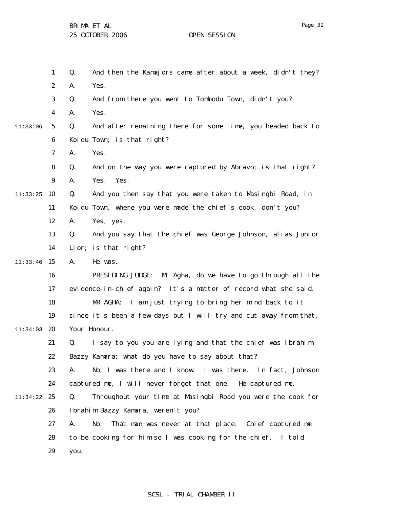1 2 3 4 5 6 7 8 9  $11:33:25$  10 11 12 13 14  $11:33:46$  15 16 17 18 19  $11:34:03$  20 21 22 23 24 11:34:22 25 26 27 28 29 11:33:06 Q. And then the Kamajors came after about a week, didn't they? A. Yes. Q. And from there you went to Tombodu Town, didn't you? A. Yes. Q. And after remaining there for some time, you headed back to Koidu Town; is that right? A. Yes. Q. And on the way you were captured by Abravo; is that right? A. Yes. Yes. Q. And you then say that you were taken to Masingbi Road, in Koidu Town, where you were made the chief's cook, don't you? A. Yes, yes. Q. And you say that the chief was George Johnson, alias Junior Lion; is that right? A. He was. PRESIDING JUDGE: Mr Agha, do we have to go through all the evidence-in-chief again? It's a matter of record what she said. MR AGHA: I am just trying to bring her mind back to it since it's been a few days but I will try and cut away from that, Your Honour. Q. I say to you you are lying and that the chief was Ibrahim Bazzy Kamara; what do you have to say about that? A. No, I was there and I know. I was there. In fact, Johnson captured me, I will never forget that one. He captured me. Q. Throughout your time at Masingbi Road you were the cook for Ibrahim Bazzy Kamara, weren't you? A. No. That man was never at that place. Chief captured me to be cooking for him so I was cooking for the chief. I told you.

# SCSL - TRIAL CHAMBER II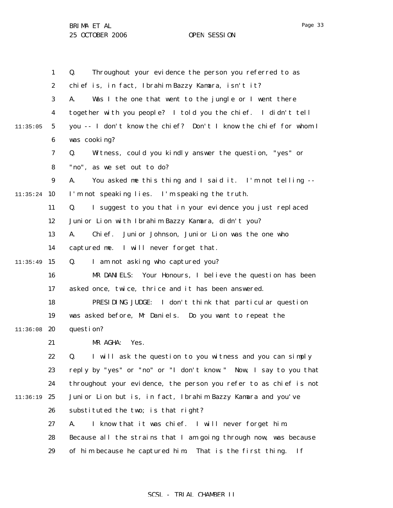1 2 3 4 5 6 7 8 9  $11:35:24$  10 11 12 13 14  $11:35:49$  15 16 17 18 19 11:36:08 20 21 22 23 24 11:36:19 25 26 27 28 29 11:35:05 Q. Throughout your evidence the person you referred to as chief is, in fact, Ibrahim Bazzy Kamara, isn't it? A. Was I the one that went to the jungle or I went there together with you people? I told you the chief. I didn't tell you -- I don't know the chief? Don't I know the chief for whom I was cooking? Q. Witness, could you kindly answer the question, "yes" or "no", as we set out to do? A. You asked me this thing and I said it. I'm not telling -- I'm not speaking lies. I'm speaking the truth. Q. I suggest to you that in your evidence you just replaced Junior Lion with Ibrahim Bazzy Kamara, didn't you? A. Chief. Junior Johnson, Junior Lion was the one who captured me. I will never forget that. Q. I am not asking who captured you? MR DANIELS: Your Honours, I believe the question has been asked once, twice, thrice and it has been answered. PRESIDING JUDGE: I don't think that particular question was asked before, Mr Daniels. Do you want to repeat the question? MR AGHA: Yes. Q. I will ask the question to you witness and you can simply reply by "yes" or "no" or "I don't know." Now, I say to you that throughout your evidence, the person you refer to as chief is not Junior Lion but is, in fact, Ibrahim Bazzy Kamara and you've substituted the two; is that right? A. I know that it was chief. I will never forget him. Because all the strains that I am going through now, was because of him because he captured him. That is the first thing. If

# SCSL - TRIAL CHAMBER II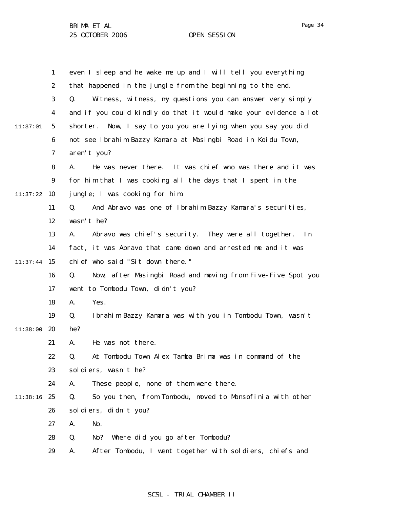|          | $\mathbf{1}$     | even I sleep and he wake me up and I will tell you everything                |
|----------|------------------|------------------------------------------------------------------------------|
|          | $\boldsymbol{2}$ | that happened in the jungle from the beginning to the end.                   |
|          | 3                | Witness, witness, my questions you can answer very simply<br>Q.              |
|          | $\boldsymbol{4}$ | and if you could kindly do that it would make your evidence a lot            |
| 11:37:01 | $\mathbf 5$      | Now, I say to you you are lying when you say you did<br>shorter.             |
|          | 6                | not see Ibrahim Bazzy Kamara at Masingbi Road in Koidu Town,                 |
|          | 7                | aren't you?                                                                  |
|          | 8                | He was never there. It was chief who was there and it was<br>A.              |
|          | $\boldsymbol{9}$ | for him that I was cooking all the days that I spent in the                  |
| 11:37:22 | 10               | jungle; I was cooking for him.                                               |
|          | 11               | Q.<br>And Abravo was one of Ibrahim Bazzy Kamara's securities,               |
|          | 12               | wasn't he?                                                                   |
|          | 13               | Abravo was chief's security. They were all together.<br>A.<br>$\mathbf{I}$ n |
|          | 14               | fact, it was Abravo that came down and arrested me and it was                |
| 11:37:44 | 15               | chief who said "Sit down there."                                             |
|          | 16               | Q.<br>Now, after Masingbi Road and moving from Five-Five Spot you            |
|          | 17               | went to Tombodu Town, didn't you?                                            |
|          | 18               | Yes.<br>A.                                                                   |
|          | 19               | Ibrahim Bazzy Kamara was with you in Tombodu Town, wasn't<br>Q.              |
| 11:38:00 | 20               | he?                                                                          |
|          | 21               | A.<br>He was not there.                                                      |
|          | 22               | Q.<br>At Tombodu Town Alex Tamba Brima was in command of the                 |
|          | 23               | soldiers, wasn't he?                                                         |
|          | 24               | These people, none of them were there.<br>A.                                 |
| 11:38:16 | 25               | So you then, from Tombodu, moved to Mansofinia with other<br>Q.              |
|          | 26               | sol di ers, di dn't you?                                                     |
|          | 27               | A.<br>No.                                                                    |
|          | 28               | Where did you go after Tombodu?<br>Q.<br>No?                                 |
|          | 29               | After Tombodu, I went together with soldiers, chiefs and<br>A.               |

# SCSL - TRIAL CHAMBER II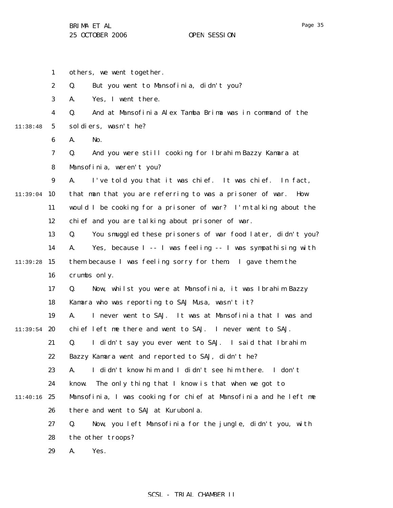1 2 3 4 5 6 7 8 9  $11:39:04$  10 11 12 13 14  $11:39:28$  15 16 17 18 19 11:39:54 **20** 21 22 23 24 11:40:16 25 26 27 28 29 11:38:48 others, we went together. Q. But you went to Mansofinia, didn't you? A. Yes, I went there. Q. And at Mansofinia Alex Tamba Brima was in command of the soldiers, wasn't he? A. No. Q. And you were still cooking for Ibrahim Bazzy Kamara at Mansofinia, weren't you? A. I've told you that it was chief. It was chief. In fact, that man that you are referring to was a prisoner of war. How would I be cooking for a prisoner of war? I'm talking about the chief and you are talking about prisoner of war. Q. You smuggled these prisoners of war food later, didn't you? A. Yes, because I -- I was feeling -- I was sympathising with them because I was feeling sorry for them. I gave them the crumbs only. Q. Now, whilst you were at Mansofinia, it was Ibrahim Bazzy Kamara who was reporting to SAJ Musa, wasn't it? A. I never went to SAJ. It was at Mansofinia that I was and chief left me there and went to SAJ. I never went to SAJ. Q. I didn't say you ever went to SAJ. I said that Ibrahim Bazzy Kamara went and reported to SAJ, didn't he? A. I didn't know him and I didn't see him there. I don't know. The only thing that I know is that when we got to Mansofinia, I was cooking for chief at Mansofinia and he left me there and went to SAJ at Kurubonla. Q. Now, you left Mansofinia for the jungle, didn't you, with the other troops? A. Yes.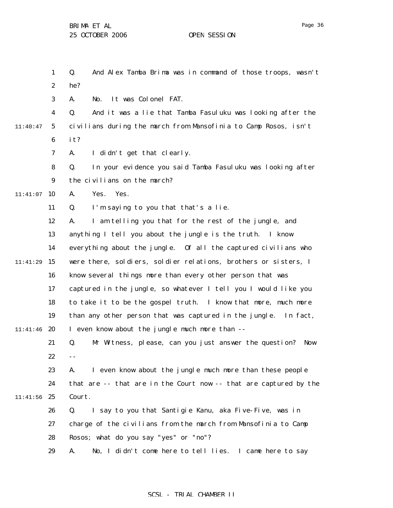Page 36

|          | $\mathbf{1}$     | Q.<br>And Alex Tamba Brima was in command of those troops, wasn't  |
|----------|------------------|--------------------------------------------------------------------|
|          | $\boldsymbol{2}$ | he?                                                                |
|          | 3                | It was Colonel FAT.<br>No.<br>A.                                   |
|          | 4                | And it was a lie that Tamba Fasuluku was looking after the<br>Q.   |
| 11:40:47 | $\mathbf{5}$     | civilians during the march from Mansofinia to Camp Rosos, isn't    |
|          | 6                | it?                                                                |
|          | 7                | I didn't get that clearly.<br>A.                                   |
|          | 8                | Q.<br>In your evidence you said Tamba Fasuluku was looking after   |
|          | $\boldsymbol{9}$ | the civilians on the march?                                        |
| 11:41:07 | 10               | Yes.<br>Yes.<br>A.                                                 |
|          | 11               | I'm saying to you that that's a lie.<br>Q.                         |
|          | 12               | I am telling you that for the rest of the jungle, and<br>A.        |
|          | 13               | anything I tell you about the jungle is the truth. I know          |
|          | 14               | everything about the jungle. Of all the captured civilians who     |
| 11:41:29 | 15               | were there, soldiers, soldier relations, brothers or sisters, I    |
|          | 16               | know several things more than every other person that was          |
|          | 17               | captured in the jungle, so whatever I tell you I would like you    |
|          | 18               | to take it to be the gospel truth. I know that more, much more     |
|          | 19               | than any other person that was captured in the jungle. In fact,    |
| 11:41:46 | 20               | I even know about the jungle much more than --                     |
|          | 21               | Q.<br>Mr Witness, please, can you just answer the question?<br>Now |
|          | 22               | $ -$                                                               |
|          | 23               | I even know about the jungle much more than these people<br>A.     |
|          | 24               | that are -- that are in the Court now -- that are captured by the  |
| 11:41:56 | 25               | Court.                                                             |
|          | 26               | I say to you that Santigie Kanu, aka Five-Five, was in<br>Q.       |
|          | 27               | charge of the civilians from the march from Mansofinia to Camp     |
|          | 28               | Rosos; what do you say "yes" or "no"?                              |
|          | 29               | No, I didn't come here to tell lies. I came here to say<br>A.      |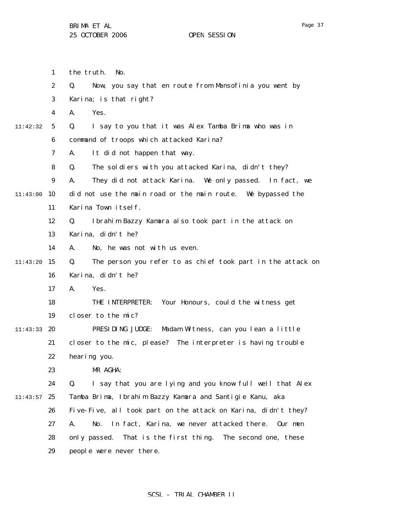|          | 1                | the truth.<br>No.                                                 |
|----------|------------------|-------------------------------------------------------------------|
|          | $\boldsymbol{2}$ | Q.<br>Now, you say that en route from Mansofinia you went by      |
|          | 3                | Karina; is that right?                                            |
|          | 4                | Yes.<br>A.                                                        |
| 11:42:32 | 5                | I say to you that it was Alex Tamba Brima who was in<br>Q.        |
|          | 6                | command of troops which attacked Karina?                          |
|          | 7                | It did not happen that way.<br>A.                                 |
|          | 8                | The soldiers with you attacked Karina, didn't they?<br>Q.         |
|          | 9                | They did not attack Karina. We only passed.<br>A.<br>In fact, we  |
| 11:43:00 | 10               | did not use the main road or the main route. We bypassed the      |
|          | 11               | Karina Town itself.                                               |
|          | 12               | Ibrahim Bazzy Kamara also took part in the attack on<br>Q.        |
|          | 13               | Karina, didn't he?                                                |
|          | 14               | No, he was not with us even.<br>A.                                |
| 11:43:20 | 15               | The person you refer to as chief took part in the attack on<br>Q. |
|          | 16               | Karina, didn't he?                                                |
|          | 17               | Yes.<br>A.                                                        |
|          | 18               | Your Honours, could the witness get<br>THE INTERPRETER:           |
|          | 19               | closer to the mic?                                                |
| 11:43:33 | 20               | PRESIDING JUDGE:<br>Madam Witness, can you lean a little          |
|          | 21               | closer to the mic, please? The interpreter is having trouble      |
|          | 22               | hearing you.                                                      |
|          | 23               | MR AGHA:                                                          |
|          | 24               | Q.<br>I say that you are lying and you know full well that Alex   |
| 11:43:57 | 25               | Tamba Brima, Ibrahim Bazzy Kamara and Santigie Kanu, aka          |
|          | 26               | Five-Five, all took part on the attack on Karina, didn't they?    |
|          | 27               | In fact, Karina, we never attacked there.<br>A.<br>No.<br>Our men |
|          | 28               | only passed.<br>That is the first thing. The second one, these    |
|          | 29               | people were never there.                                          |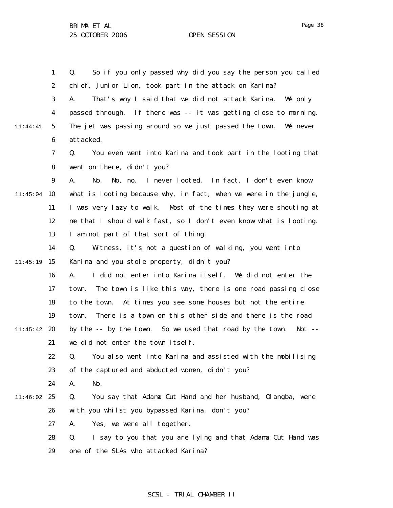1 2 3 4 5 6 7 8 9  $11:45:04$  10 11 12 13 14  $11:45:19$  15 16 17 18 19 11:45:42 20 21 22 23 24 11:46:02 25 26 27 28 29 11:44:41 Q. So if you only passed why did you say the person you called chief, Junior Lion, took part in the attack on Karina? A. That's why I said that we did not attack Karina. We only passed through. If there was -- it was getting close to morning. The jet was passing around so we just passed the town. We never attacked. Q. You even went into Karina and took part in the looting that went on there, didn't you? A. No. No, no. I never looted. In fact, I don't even know what is looting because why, in fact, when we were in the jungle, I was very lazy to walk. Most of the times they were shouting at me that I should walk fast, so I don't even know what is looting. I am not part of that sort of thing. Q. Witness, it's not a question of walking, you went into Karina and you stole property, didn't you? A. I did not enter into Karina itself. We did not enter the town. The town is like this way, there is one road passing close to the town. At times you see some houses but not the entire town. There is a town on this other side and there is the road by the -- by the town. So we used that road by the town. Not - we did not enter the town itself. Q. You also went into Karina and assisted with the mobilising of the captured and abducted women, didn't you? A. No. Q. You say that Adama Cut Hand and her husband, Olangba, were with you whilst you bypassed Karina, don't you? A. Yes, we were all together. Q. I say to you that you are lying and that Adama Cut Hand was one of the SLAs who attacked Karina?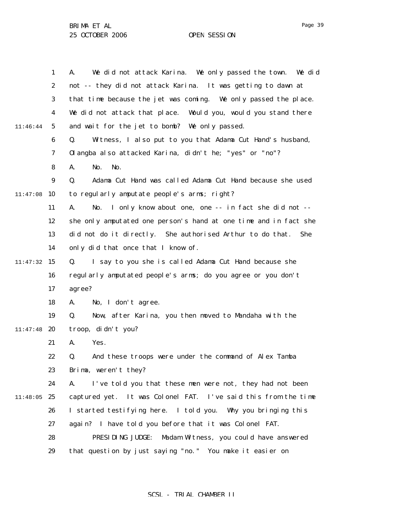Page 39

|          | $\mathbf{1}$     | We did not attack Karina. We only passed the town. We did<br>A.         |
|----------|------------------|-------------------------------------------------------------------------|
|          | $\boldsymbol{2}$ | not -- they did not attack Karina. It was getting to dawn at            |
|          | 3                | that time because the jet was coming. We only passed the place.         |
|          | 4                | We did not attack that place.<br>Would you, would you stand there       |
| 11:46:44 | $\mathbf{5}$     | and wait for the jet to bomb? We only passed.                           |
|          | $\boldsymbol{6}$ | Q.<br>Witness, I also put to you that Adama Cut Hand's husband,         |
|          | 7                | Olangba also attacked Karina, didn't he; "yes" or "no"?                 |
|          | 8                | No.<br>No.<br>A.                                                        |
|          | $\boldsymbol{9}$ | Adama Cut Hand was called Adama Cut Hand because she used<br>Q.         |
| 11:47:08 | 10               | to regularly amputate people's arms; right?                             |
|          | 11               | I only know about one, one -- in fact she did not --<br>No.<br>A.       |
|          | 12               | she only amputated one person's hand at one time and in fact she        |
|          | 13               | did not do it directly. She authorised Arthur to do that.<br><b>She</b> |
|          | 14               | only did that once that I know of.                                      |
| 11:47:32 | 15               | I say to you she is called Adama Cut Hand because she<br>Q.             |
|          | 16               | regularly amputated people's arms; do you agree or you don't            |
|          | 17               | agree?                                                                  |
|          | 18               | No, I don't agree.<br>A.                                                |
|          | 19               | Now, after Karina, you then moved to Mandaha with the<br>Q.             |
| 11:47:48 | 20               | troop, didn't you?                                                      |
|          | 21               | Yes.<br>A.                                                              |
|          | 22               | And these troops were under the command of Alex Tamba<br>Q.             |
|          | 23               | Brima, weren't they?                                                    |
|          | 24               | I've told you that these men were not, they had not been<br>A.          |
| 11:48:05 | 25               | captured yet. It was Colonel FAT. I've said this from the time          |
|          | 26               | I started testifying here. I told you. Why you bringing this            |
|          | 27               | again? I have told you before that it was Colonel FAT.                  |
|          | 28               | PRESIDING JUDGE:<br>Madam Witness, you could have answered              |
|          | 29               | that question by just saying "no." You make it easier on                |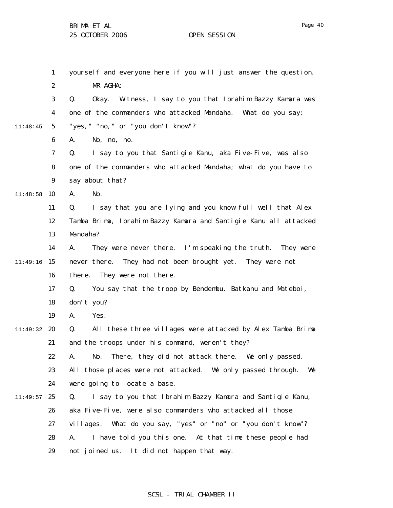MR AGHA:

A. No, no, no.

say about that?

yourself and everyone here if you will just answer the question. Q. Okay. Witness, I say to you that Ibrahim Bazzy Kamara was one of the commanders who attacked Mandaha. What do you say; "yes, " "no, " or "you don't know"? Q. I say to you that Santigie Kanu, aka Five-Five, was also one of the commanders who attacked Mandaha; what do you have to

11:48:58 10 A. No.

1

2

3

4

5

11:48:45

6

7

8

9

- 11 12 13 Q. I say that you are lying and you know full well that Alex Tamba Brima, Ibrahim Bazzy Kamara and Santigie Kanu all attacked Mandaha?
- 14 11:49:16 15 16 A. They were never there. I'm speaking the truth. They were never there. They had not been brought yet. They were not there. They were not there.
	- 17 18 Q. You say that the troop by Bendembu, Batkanu and Mateboi, don't you?
	- 19 A. Yes.
- 11:49:32 20 21 Q. All these three villages were attacked by Alex Tamba Brima and the troops under his command, weren't they?
	- 22 A. No. There, they did not attack there. We only passed.
	- 23 24 All those places were not attacked. We only passed through. We were going to locate a base.
- $11:49:57$  25 26 27 28 29 Q. I say to you that Ibrahim Bazzy Kamara and Santigie Kanu, aka Five-Five, were also commanders who attacked all those villages. What do you say, "yes" or "no" or "you don't know"? A. I have told you this one. At that time these people had not joined us. It did not happen that way.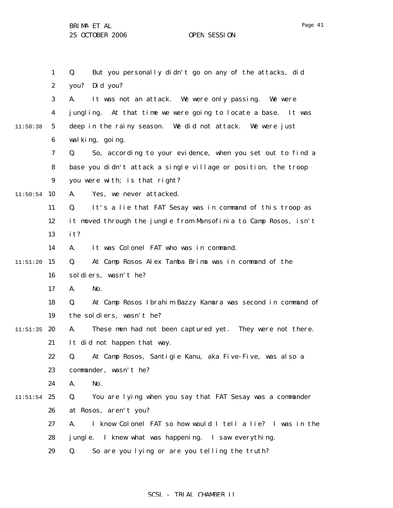1 2 3 4 5 6 7 8 9  $11:50:54$  10 11 12 13 14  $11:51:20$  15 16 17 18 19  $11:51:35$  20 21 22 23 24  $11:51:54$  25 26 27 28 29 11:50:38 Q. But you personally didn't go on any of the attacks, did you? Did you? A. It was not an attack. We were only passing. We were jungling. At that time we were going to locate a base. It was deep in the rainy season. We did not attack. We were just walking, going. Q. So, according to your evidence, when you set out to find a base you didn't attack a single village or position, the troop you were with; is that right? A. Yes, we never attacked. Q. It's a lie that FAT Sesay was in command of this troop as it moved through the jungle from Mansofinia to Camp Rosos, isn't it? A. It was Colonel FAT who was in command. Q. At Camp Rosos Alex Tamba Brima was in command of the soldiers, wasn't he? A. No. Q. At Camp Rosos Ibrahim Bazzy Kamara was second in command of the soldiers, wasn't he? A. These men had not been captured yet. They were not there. It did not happen that way. Q. At Camp Rosos, Santigie Kanu, aka Five-Five, was also a commander, wasn't he? A. No. Q. You are lying when you say that FAT Sesay was a commander at Rosos, aren't you? A. I know Colonel FAT so how would I tell a lie? I was in the jungle. I knew what was happening. I saw everything. Q. So are you lying or are you telling the truth?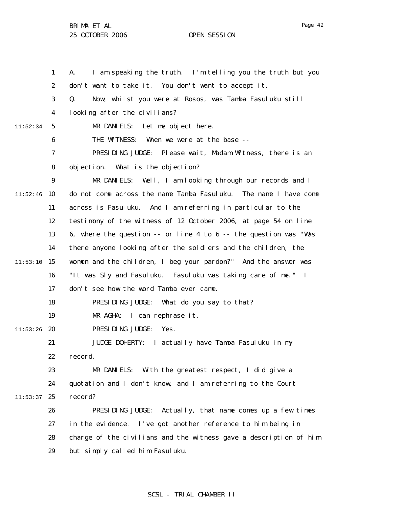1 2 3 4 5 6 7 8 9  $11:52:46$  10 11 12 13 14  $11:53:10$  15 16 17 18 19  $11:53:26$  20 21 22 23 24  $11:53:37$  25 26 27 28 29 11:52:34 A. I am speaking the truth. I'm telling you the truth but you don't want to take it. You don't want to accept it. Q. Now, whilst you were at Rosos, was Tamba Fasuluku still looking after the civilians? MR DANIELS: Let me object here. THE WITNESS: When we were at the base -- PRESIDING JUDGE: Please wait, Madam Witness, there is an objection. What is the objection? MR DANIELS: Well, I am looking through our records and I do not come across the name Tamba Fasuluku. The name I have come across is Fasuluku. And I am referring in particular to the testimony of the witness of 12 October 2006, at page 54 on line 6, where the question -- or line 4 to 6 -- the question was "Was there anyone looking after the soldiers and the children, the women and the children, I beg your pardon?" And the answer was "It was Sly and Fasuluku. Fasuluku was taking care of me." I don't see how the word Tamba ever came. PRESIDING JUDGE: What do you say to that? MR AGHA: I can rephrase it. PRESIDING JUDGE: Yes. JUDGE DOHERTY: I actually have Tamba Fasuluku in my record. MR DANIELS: With the greatest respect, I did give a quotation and I don't know, and I am referring to the Court record? PRESIDING JUDGE: Actually, that name comes up a few times in the evidence. I've got another reference to him being in charge of the civilians and the witness gave a description of him but simply called him Fasuluku.

### SCSL - TRIAL CHAMBER II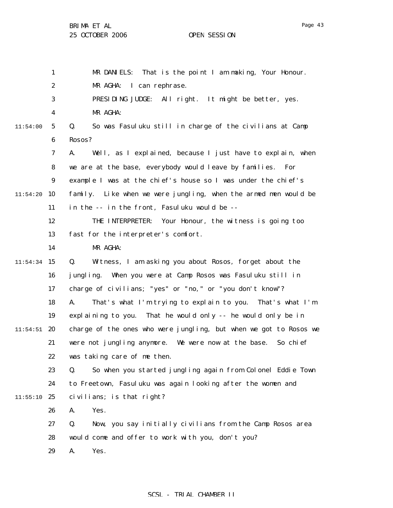1 2 3 4 5 6 7 8 9  $11:54:20$  10 11 12 13 14  $11:54:34$  15 16 17 18 19  $11:54:51$  20 21 22 23 24  $11:55:10$  25 26 27 28 29 11:54:00 MR DANIELS: That is the point I am making, Your Honour. MR AGHA: I can rephrase. PRESIDING JUDGE: All right. It might be better, yes. MR AGHA: Q. So was Fasuluku still in charge of the civilians at Camp Rosos? A. Well, as I explained, because I just have to explain, when we are at the base, everybody would leave by families. For example I was at the chief's house so I was under the chief's family. Like when we were jungling, when the armed men would be in the -- in the front, Fasuluku would be -- THE INTERPRETER: Your Honour, the witness is going too fast for the interpreter's comfort. MR AGHA: Q. Witness, I am asking you about Rosos, forget about the jungling. When you were at Camp Rosos was Fasuluku still in charge of civilians; "yes" or "no," or "you don't know"? A. That's what I'm trying to explain to you. That's what I'm explaining to you. That he would only -- he would only be in charge of the ones who were jungling, but when we got to Rosos we were not jungling anymore. We were now at the base. So chief was taking care of me then. Q. So when you started jungling again from Colonel Eddie Town to Freetown, Fasuluku was again looking after the women and civilians; is that right? A. Yes. Q. Now, you say initially civilians from the Camp Rosos area would come and offer to work with you, don't you? A. Yes.

### SCSL - TRIAL CHAMBER II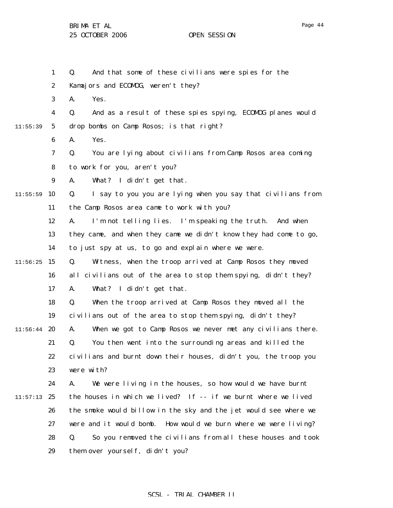1 2 3 4 5 6 7 8 9  $11:55:59$  10 11 12 13 14  $11:56:25$  15 16 17 18 19  $11:56:44$  20 21 22 23 24  $11:57:13$  25 26 27 28 29 11:55:39 Q. And that some of these civilians were spies for the Kamajors and ECOMOG, weren't they? A. Yes. Q. And as a result of these spies spying, ECOMOG planes would drop bombs on Camp Rosos; is that right? A. Yes. Q. You are lying about civilians from Camp Rosos area coming to work for you, aren't you? A. What? I didn't get that. Q. I say to you you are lying when you say that civilians from the Camp Rosos area came to work with you? A. I'm not telling lies. I'm speaking the truth. And when they came, and when they came we didn't know they had come to go, to just spy at us, to go and explain where we were. Q. Witness, when the troop arrived at Camp Rosos they moved all civilians out of the area to stop them spying, didn't they? A. What? I didn't get that. Q. When the troop arrived at Camp Rosos they moved all the civilians out of the area to stop them spying, didn't they? A. When we got to Camp Rosos we never met any civilians there. Q. You then went into the surrounding areas and killed the civilians and burnt down their houses, didn't you, the troop you were with? A. We were living in the houses, so how would we have burnt the houses in which we lived? If -- if we burnt where we lived the smoke would billow in the sky and the jet would see where we were and it would bomb. How would we burn where we were living? Q. So you removed the civilians from all these houses and took them over yourself, didn't you?

# SCSL - TRIAL CHAMBER II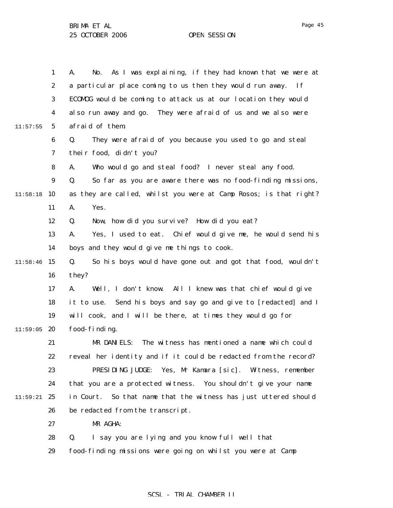|          | $\mathbf{1}$     | As I was explaining, if they had known that we were at<br>A.<br>No. |
|----------|------------------|---------------------------------------------------------------------|
|          | $\boldsymbol{2}$ | a particular place coming to us then they would run away.<br>If     |
|          | 3                | ECOMOG would be coming to attack us at our location they would      |
|          | $\boldsymbol{4}$ | also run away and go. They were afraid of us and we also were       |
| 11:57:55 | $5\phantom{.0}$  | afraid of them.                                                     |
|          | $\boldsymbol{6}$ | Q.<br>They were afraid of you because you used to go and steal      |
|          | 7                | their food, didn't you?                                             |
|          | 8                | Who would go and steal food? I never steal any food.<br>A.          |
|          | 9                | So far as you are aware there was no food-finding missions,<br>Q.   |
| 11:58:18 | 10               | as they are called, whilst you were at Camp Rosos; is that right?   |
|          | 11               | Yes.<br>A.                                                          |
|          | 12               | Now, how did you survive? How did you eat?<br>Q.                    |
|          | 13               | Yes, I used to eat. Chief would give me, he would send his<br>A.    |
|          | 14               | boys and they would give me things to cook.                         |
| 11:58:46 | 15               | So his boys would have gone out and got that food, wouldn't<br>Q.   |
|          | 16               | they?                                                               |
|          | 17               | Well, I don't know. All I knew was that chief would give<br>A.      |
|          | 18               | it to use. Send his boys and say go and give to [redacted] and I    |
|          | 19               | will cook, and I will be there, at times they would go for          |
| 11:59:05 | 20               | food-finding.                                                       |
|          | 21               | The witness has mentioned a name which could<br>MR DANIELS:         |
|          | 22               | reveal her identity and if it could be redacted from the record?    |
|          | 23               | PRESIDING JUDGE: Yes, Mr Kamara [sic].<br>Witness, remember         |
|          | 24               | that you are a protected witness. You shouldn't give your name      |
| 11:59:21 | 25               | So that name that the witness has just uttered should<br>in Court.  |
|          | 26               | be redacted from the transcript.                                    |
|          | 27               | MR AGHA:                                                            |
|          | 28               | $Q_{\cdot}$<br>I say you are lying and you know full well that      |
|          | 29               | food-finding missions were going on whilst you were at Camp         |
|          |                  |                                                                     |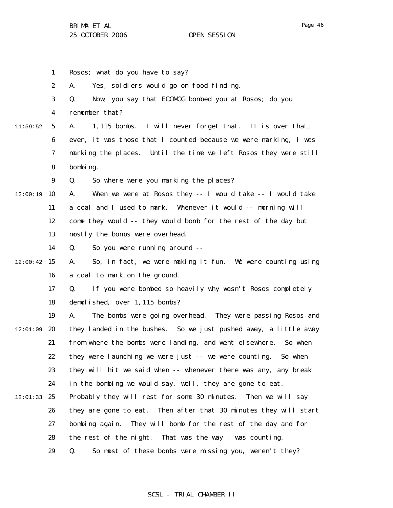1 2 3 4 5 6 7 8 9  $12:00:19$  10 11 12 13 14  $12:00:42$  15 16 17 18 19  $12:01:09$  20 21 22 23 24  $12:01:33$  25 26 27 28 29 11:59:52 Rosos; what do you have to say? A. Yes, soldiers would go on food finding. Q. Now, you say that ECOMOG bombed you at Rosos; do you remember that? A. 1,115 bombs. I will never forget that. It is over that, even, it was those that I counted because we were marking, I was marking the places. Until the time we left Rosos they were still bombing. Q. So where were you marking the places? A. When we were at Rosos they -- I would take -- I would take a coal and I used to mark. Whenever it would -- morning will come they would -- they would bomb for the rest of the day but mostly the bombs were overhead. Q. So you were running around -- A. So, in fact, we were making it fun. We were counting using a coal to mark on the ground. Q. If you were bombed so heavily why wasn't Rosos completely demolished, over 1,115 bombs? A. The bombs were going overhead. They were passing Rosos and they landed in the bushes. So we just pushed away, a little away from where the bombs were landing, and went elsewhere. So when they were launching we were just -- we were counting. So when they will hit we said when -- whenever there was any, any break in the bombing we would say, well, they are gone to eat. Probably they will rest for some 30 minutes. Then we will say they are gone to eat. Then after that 30 minutes they will start bombing again. They will bomb for the rest of the day and for the rest of the night. That was the way I was counting. Q. So most of these bombs were missing you, weren't they?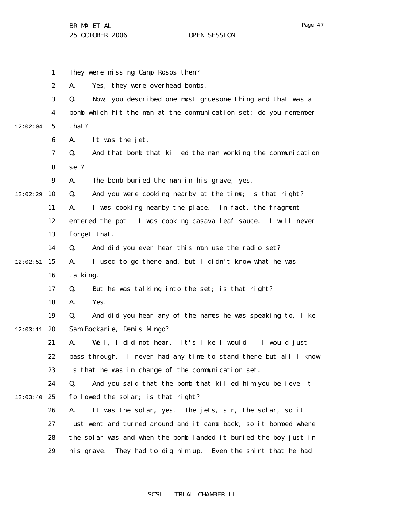|          | 1                       | They were missing Camp Rosos then?                                |
|----------|-------------------------|-------------------------------------------------------------------|
|          | $\boldsymbol{2}$        | Yes, they were overhead bombs.<br>A.                              |
|          | 3                       | Now, you described one most gruesome thing and that was a<br>Q.   |
|          | $\overline{\mathbf{4}}$ | bomb which hit the man at the communication set; do you remember  |
| 12:02:04 | $5\overline{)}$         | that?                                                             |
|          | $\boldsymbol{6}$        | It was the jet.<br>A.                                             |
|          | 7                       | And that bomb that killed the man working the communication<br>Q. |
|          | 8                       | set?                                                              |
|          | 9                       | The bomb buried the man in his grave, yes.<br>A.                  |
| 12:02:29 | 10                      | And you were cooking nearby at the time; is that right?<br>Q.     |
|          | 11                      | I was cooking nearby the place. In fact, the fragment<br>A.       |
|          | 12                      | entered the pot. I was cooking casava leaf sauce. I will never    |
|          | 13                      | forget that.                                                      |
|          | 14                      | And did you ever hear this man use the radio set?<br>Q.           |
| 12:02:51 | 15                      | I used to go there and, but I didn't know what he was<br>A.       |
|          | 16                      | tal king.                                                         |
|          | 17                      | But he was talking into the set; is that right?<br>Q.             |
|          | 18                      | Yes.<br>A.                                                        |
|          | 19                      | And did you hear any of the names he was speaking to, like<br>Q.  |
| 12:03:11 | 20                      | Sam Bockarie, Denis Mingo?                                        |
|          | 21                      | Well, I did not hear. It's like I would -- I would just<br>A.     |
|          | 22                      | pass through. I never had any time to stand there but all I know  |
|          | 23                      | is that he was in charge of the communication set.                |
|          | 24                      | And you said that the bomb that killed him you believe it<br>Q.   |
| 12:03:40 | 25                      | followed the solar; is that right?                                |
|          | 26                      | It was the solar, yes. The jets, sir, the solar, so it<br>A.      |
|          | 27                      | just went and turned around and it came back, so it bombed where  |
|          | 28                      | the solar was and when the bomb landed it buried the boy just in  |
|          | 29                      | They had to dig him up. Even the shirt that he had<br>his grave.  |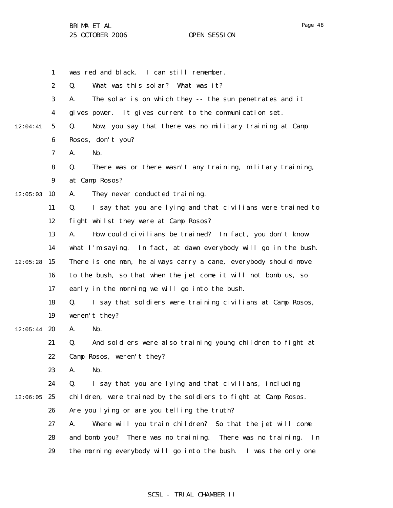1 2 3 4 5 6 7 8 9  $12:05:03$  10 11 12 13 14  $12:05:28$  15 16 17 18 19  $12:05:44$  20 21 22 23 24  $12:06:05$  25 26 27 28 29 12:04:41 was red and black. I can still remember. Q. What was this solar? What was it? A. The solar is on which they -- the sun penetrates and it gives power. It gives current to the communication set. Q. Now, you say that there was no military training at Camp Rosos, don't you? A. No. Q. There was or there wasn't any training, military training, at Camp Rosos? A. They never conducted training. Q. I say that you are lying and that civilians were trained to fight whilst they were at Camp Rosos? A. How could civilians be trained? In fact, you don't know what I'm saying. In fact, at dawn everybody will go in the bush. There is one man, he always carry a cane, everybody should move to the bush, so that when the jet come it will not bomb us, so early in the morning we will go into the bush. Q. I say that soldiers were training civilians at Camp Rosos, weren't they? A. No. Q. And soldiers were also training young children to fight at Camp Rosos, weren't they? A. No. Q. I say that you are lying and that civilians, including children, were trained by the soldiers to fight at Camp Rosos. Are you lying or are you telling the truth? A. Where will you train children? So that the jet will come and bomb you? There was no training. There was no training. In the morning everybody will go into the bush. I was the only one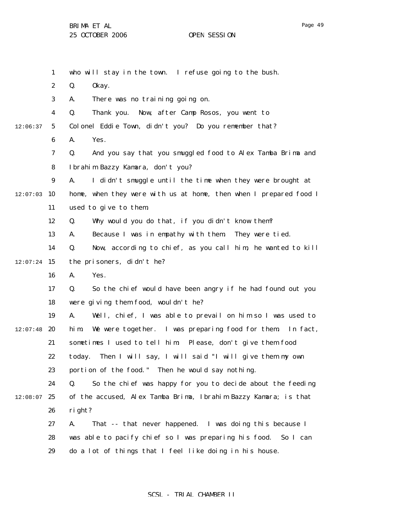|          | $\mathbf{1}$     | who will stay in the town. I refuse going to the bush.            |
|----------|------------------|-------------------------------------------------------------------|
|          | $\boldsymbol{2}$ | Q.<br>0kay.                                                       |
|          | 3                | There was no training going on.<br>A.                             |
|          | $\boldsymbol{4}$ | Q.<br>Now, after Camp Rosos, you went to<br>Thank you.            |
| 12:06:37 | $5\phantom{.0}$  | Colonel Eddie Town, didn't you? Do you remember that?             |
|          | 6                | Yes.<br>A.                                                        |
|          | 7                | And you say that you smuggled food to Alex Tamba Brima and<br>Q.  |
|          | 8                | Ibrahim Bazzy Kamara, don't you?                                  |
|          | $\boldsymbol{9}$ | A.<br>I didn't smuggle until the time when they were brought at   |
| 12:07:03 | 10               | home, when they were with us at home, then when I prepared food I |
|          | 11               | used to give to them.                                             |
|          | 12               | Why would you do that, if you didn't know them?<br>Q.             |
|          | 13               | Because I was in empathy with them.<br>They were tied.<br>A.      |
|          | 14               | Now, according to chief, as you call him, he wanted to kill<br>Q. |
| 12:07:24 | 15               | the prisoners, didn't he?                                         |
|          | 16               | Yes.<br>A.                                                        |
|          | 17               | So the chief would have been angry if he had found out you<br>Q.  |
|          | 18               | were giving them food, wouldn't he?                               |
|          | 19               | Well, chief, I was able to prevail on him so I was used to<br>A.  |
| 12:07:48 | 20               | We were together. I was preparing food for them. In fact,<br>hi m |
|          | 21               | sometimes I used to tell him: Please, don't give them food        |
|          | 22               | today. Then I will say, I will said "I will give them my own      |
|          | 23               | portion of the food." Then he would say nothing.                  |
|          | 24               | So the chief was happy for you to decide about the feeding<br>Q.  |
| 12:08:07 | 25               | of the accused, Alex Tamba Brima, Ibrahim Bazzy Kamara; is that   |
|          | 26               | right?                                                            |
|          | 27               | That -- that never happened. I was doing this because I<br>A.     |
|          | 28               | was able to pacify chief so I was preparing his food. So I can    |
|          | 29               | do a lot of things that I feel like doing in his house.           |
|          |                  |                                                                   |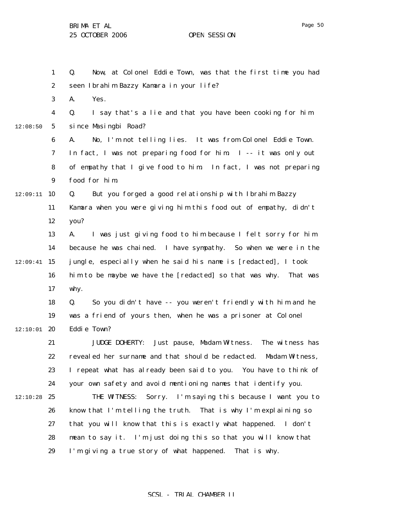1

Q. Now, at Colonel Eddie Town, was that the first time you had

2 3 4 5 6 7 8 9  $12:09:11$  10 11 12 13 14  $12:09:41$  15 16 17 18 19  $12:10:01$  20 21 22 23 24  $12:10:28$  25 26 27 28 29 12:08:50 seen Ibrahim Bazzy Kamara in your life? A. Yes. Q. I say that's a lie and that you have been cooking for him since Masingbi Road? A. No, I'm not telling lies. It was from Colonel Eddie Town. In fact, I was not preparing food for him. I -- it was only out of empathy that I give food to him. In fact, I was not preparing food for him. Q. But you forged a good relationship with Ibrahim Bazzy Kamara when you were giving him this food out of empathy, didn't you? A. I was just giving food to him because I felt sorry for him because he was chained. I have sympathy. So when we were in the jungle, especially when he said his name is [redacted], I took him to be maybe we have the [redacted] so that was why. That was why. Q. So you didn't have -- you weren't friendly with him and he was a friend of yours then, when he was a prisoner at Colonel Eddie Town? JUDGE DOHERTY: Just pause, Madam Witness. The witness has revealed her surname and that should be redacted. Madam Witness, I repeat what has already been said to you. You have to think of your own safety and avoid mentioning names that identify you. THE WITNESS: Sorry. I'm saying this because I want you to know that I'm telling the truth. That is why I'm explaining so that you will know that this is exactly what happened. I don't mean to say it. I'm just doing this so that you will know that I'm giving a true story of what happened. That is why.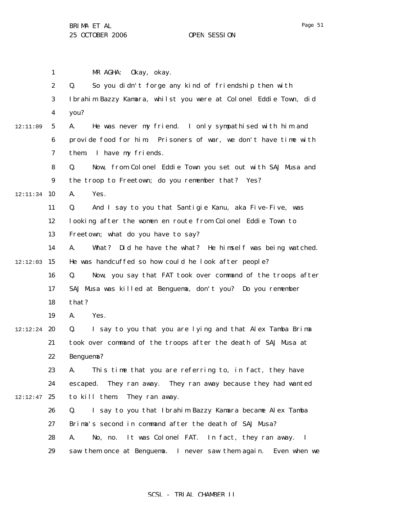1 2 3 4 5 6 7 8 9 12:11:34 10 11 12 13 14  $12:12:03$  15 16 17 18 19  $12:12:24$  20 21 22 23 24  $12:12:47$  25 26 27 28 29 12:11:09 MR AGHA: Okay, okay. Q. So you didn't forge any kind of friendship then with Ibrahim Bazzy Kamara, whilst you were at Colonel Eddie Town, did you? A. He was never my friend. I only sympathised with him and provide food for him. Prisoners of war, we don't have time with them. I have my friends. Q. Now, from Colonel Eddie Town you set out with SAJ Musa and the troop to Freetown; do you remember that? Yes? A. Yes. Q. And I say to you that Santigie Kanu, aka Five-Five, was looking after the women en route from Colonel Eddie Town to Freetown; what do you have to say? A. What? Did he have the what? He himself was being watched. He was handcuffed so how could he look after people? Q. Now, you say that FAT took over command of the troops after SAJ Musa was killed at Benguema, don't you? Do you remember that? A. Yes. Q. I say to you that you are lying and that Alex Tamba Brima took over command of the troops after the death of SAJ Musa at Benguema? A. This time that you are referring to, in fact, they have escaped. They ran away. They ran away because they had wanted to kill them. They ran away. Q. I say to you that Ibrahim Bazzy Kamara became Alex Tamba Brima's second in command after the death of SAJ Musa? A. No, no. It was Colonel FAT. In fact, they ran away. I saw them once at Benguema. I never saw them again. Even when we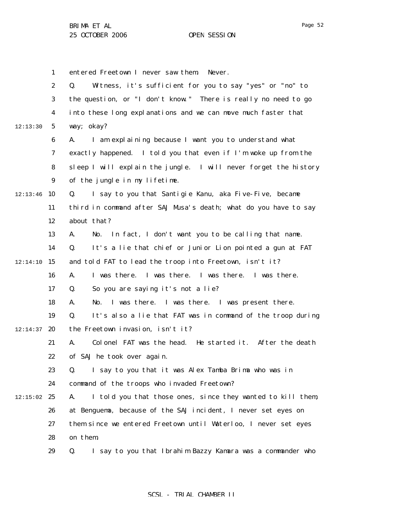1 2 3 4 5 6 7 8 9  $12:13:46$  10 11 12 13 14  $12:14:10$  15 16 17 18 19  $12:14:37$  20 21 22 23 24  $12:15:02$  25 26 27 28 29 12:13:30 entered Freetown I never saw them. Never. Q. Witness, it's sufficient for you to say "yes" or "no" to the question, or "I don't know." There is really no need to go into these long explanations and we can move much faster that way; okay? A. I am explaining because I want you to understand what exactly happened. I told you that even if I'm woke up from the sleep I will explain the jungle. I will never forget the history of the jungle in my lifetime. Q. I say to you that Santigie Kanu, aka Five-Five, became third in command after SAJ Musa's death; what do you have to say about that? A. No. In fact, I don't want you to be calling that name. Q. It's a lie that chief or Junior Lion pointed a gun at FAT and told FAT to lead the troop into Freetown, isn't it? A. I was there. I was there. I was there. I was there. Q. So you are saying it's not a lie? A. No. I was there. I was there. I was present there. Q. It's also a lie that FAT was in command of the troop during the Freetown invasion, isn't it? A. Colonel FAT was the head. He started it. After the death of SAJ he took over again. Q. I say to you that it was Alex Tamba Brima who was in command of the troops who invaded Freetown? A. I told you that those ones, since they wanted to kill them, at Benguema, because of the SAJ incident, I never set eyes on them since we entered Freetown until Waterloo, I never set eyes on them. Q. I say to you that Ibrahim Bazzy Kamara was a commander who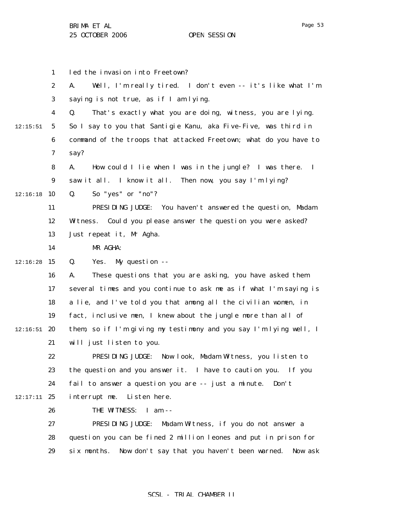|          | $\mathbf{1}$     | led the invasion into Freetown?                                              |
|----------|------------------|------------------------------------------------------------------------------|
|          | $\boldsymbol{2}$ | Well, I'm really tired. I don't even -- it's like what I'm<br>A.             |
|          | 3                | saying is not true, as if I am lying.                                        |
|          | $\boldsymbol{4}$ | That's exactly what you are doing, witness, you are lying.<br>Q.             |
| 12:15:51 | $5\phantom{.0}$  | So I say to you that Santigie Kanu, aka Five-Five, was third in              |
|          | 6                | command of the troops that attacked Freetown; what do you have to            |
|          | 7                | say?                                                                         |
|          | 8                | A.<br>How could I lie when I was in the jungle? I was there.<br>$\mathbf{I}$ |
|          | $\boldsymbol{9}$ | saw it all. I know it all. Then now, you say I'm lying?                      |
| 12:16:18 | 10               | So "yes" or "no"?<br>Q.                                                      |
|          | 11               | PRESIDING JUDGE: You haven't answered the question, Madam                    |
|          | 12               | Witness. Could you please answer the question you were asked?                |
|          | 13               | Just repeat it, Mr Agha.                                                     |
|          | 14               | MR AGHA:                                                                     |
| 12:16:28 | 15               | My question --<br>Q.<br>Yes.                                                 |
|          | 16               | These questions that you are asking, you have asked them<br>A.               |
|          | 17               | several times and you continue to ask me as if what I'm saying is            |
|          | 18               | a lie, and I've told you that among all the civilian women, in               |
|          | 19               | fact, inclusive men, I knew about the jungle more than all of                |
| 12:16:51 | 20               | them, so if I'm giving my testimony and you say I'm lying well, I            |
|          | 21               | will just listen to you.                                                     |
|          | 22               | PRESIDING JUDGE: Now look, Madam Witness, you listen to                      |
|          | 23               | the question and you answer it. I have to caution you. If you                |
|          | 24               | fail to answer a question you are -- just a minute.<br>Don't                 |
| 12:17:11 | 25               | Listen here.<br>interrupt me.                                                |
|          | 26               | THE WITNESS: I am --                                                         |
|          | 27               | PRESIDING JUDGE:<br>Madam Witness, if you do not answer a                    |
|          | 28               | question you can be fined 2 million leones and put in prison for             |
|          | 29               | Now don't say that you haven't been warned.<br>Now ask<br>six months.        |
|          |                  |                                                                              |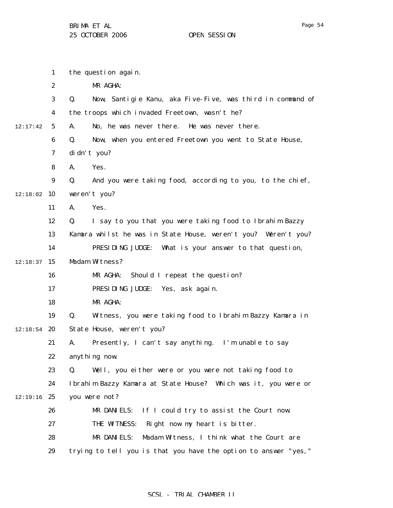1 2 3 4 5 6 7 8 9  $12:18:02$  10 11 12 13 14  $12:18:37$  15 16 17 18 19  $12:18:54$  20 21 22 23 24  $12:19:16$  25 26 27 28 29 12:17:42 the question again. MR AGHA: Q. Now, Santigie Kanu, aka Five-Five, was third in command of the troops which invaded Freetown, wasn't he? A. No, he was never there. He was never there. Q. Now, when you entered Freetown you went to State House, didn't you? A. Yes. Q. And you were taking food, according to you, to the chief, weren't you? A. Yes. Q. I say to you that you were taking food to Ibrahim Bazzy Kamara whilst he was in State House, weren't you? Weren't you? PRESIDING JUDGE: What is your answer to that question, Madam Witness? MR AGHA: Should I repeat the question? PRESIDING JUDGE: Yes, ask again. MR AGHA: Q. Witness, you were taking food to Ibrahim Bazzy Kamara in State House, weren't you? A. Presently, I can't say anything. I'm unable to say anything now. Q. Well, you either were or you were not taking food to Ibrahim Bazzy Kamara at State House? Which was it, you were or you were not? MR DANIELS: If I could try to assist the Court now. THE WITNESS: Right now my heart is bitter. MR DANIELS: Madam Witness, I think what the Court are trying to tell you is that you have the option to answer "yes,"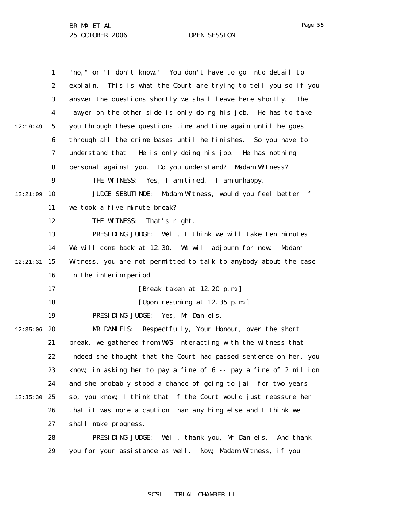1 2 3 4 5 6 7 8 9  $12:21:09$  10 11 12 13 14 12:21:31 15 16 17 18 19  $12:35:06$  20 21 22 23 24  $12:35:30$  25 26 27 28 29 12:19:49 "no," or "I don't know." You don't have to go into detail to explain. This is what the Court are trying to tell you so if you answer the questions shortly we shall leave here shortly. The lawyer on the other side is only doing his job. He has to take you through these questions time and time again until he goes through all the crime bases until he finishes. So you have to understand that. He is only doing his job. He has nothing personal against you. Do you understand? Madam Witness? THE WITNESS: Yes, I am tired. I am unhappy. JUDGE SEBUTINDE: Madam Witness, would you feel better if we took a five minute break? THE WITNESS: That's right. PRESIDING JUDGE: Well, I think we will take ten minutes. We will come back at 12.30. We will adjourn for now. Madam Witness, you are not permitted to talk to anybody about the case in the interim period. [Break taken at 12.20 p.m.] [Upon resuming at 12.35 p.m.] PRESIDING JUDGE: Yes, Mr Daniels. MR DANIELS: Respectfully, Your Honour, over the short break, we gathered from WWS interacting with the witness that indeed she thought that the Court had passed sentence on her, you know, in asking her to pay a fine of 6 -- pay a fine of 2 million and she probably stood a chance of going to jail for two years so, you know, I think that if the Court would just reassure her that it was more a caution than anything else and I think we shall make progress. PRESIDING JUDGE: Well, thank you, Mr Daniels. And thank you for your assistance as well. Now, Madam Witness, if you

# SCSL - TRIAL CHAMBER II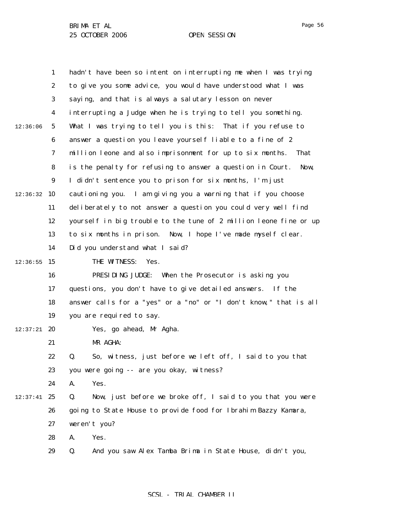Page 56

|          | 1                | hadn't have been so intent on interrupting me when I was trying    |
|----------|------------------|--------------------------------------------------------------------|
|          | $\boldsymbol{2}$ | to give you some advice, you would have understood what I was      |
|          | 3                | saying, and that is always a salutary lesson on never              |
|          | $\boldsymbol{4}$ | interrupting a Judge when he is trying to tell you something.      |
| 12:36:06 | $\sqrt{5}$       | What I was trying to tell you is this: That if you refuse to       |
|          | $\boldsymbol{6}$ | answer a question you leave yourself liable to a fine of 2         |
|          | 7                | million leone and also imprisonment for up to six months.<br>That  |
|          | 8                | is the penalty for refusing to answer a question in Court.<br>Now, |
|          | $\boldsymbol{9}$ | I didn't sentence you to prison for six months, I'm just           |
| 12:36:32 | 10               | cautioning you. I am giving you a warning that if you choose       |
|          | 11               | deliberately to not answer a question you could very well find     |
|          | 12               | yourself in big trouble to the tune of 2 million leone fine or up  |
|          | 13               | Now, I hope I've made myself clear.<br>to six months in prison.    |
|          | 14               | Did you understand what I said?                                    |
| 12:36:55 | 15               | THE WITNESS:<br>Yes.                                               |
|          | 16               | PRESIDING JUDGE: When the Prosecutor is asking you                 |
|          | 17               | questions, you don't have to give detailed answers. If the         |
|          | 18               | answer calls for a "yes" or a "no" or "I don't know," that is all  |
|          | 19               | you are required to say.                                           |
| 12:37:21 | 20               | Yes, go ahead, Mr Agha.                                            |
|          | 21               | MR AGHA:                                                           |
|          | 22               | So, witness, just before we left off, I said to you that<br>Q.     |
|          | 23               | you were going -- are you okay, witness?                           |
|          | 24               | Yes.<br>A.                                                         |
| 12:37:41 | 25               | Q.<br>Now, just before we broke off, I said to you that you were   |
|          | 26               | going to State House to provide food for Ibrahim Bazzy Kamara,     |
|          | 27               | weren't you?                                                       |
|          | 28               | Yes.<br>A.                                                         |
|          | 29               | Q.<br>And you saw Alex Tamba Brima in State House, didn't you,     |
|          |                  |                                                                    |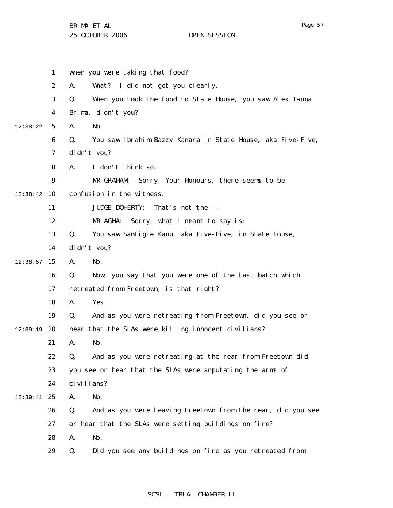|          | $\mathbf{1}$     | when you were taking that food?                                   |
|----------|------------------|-------------------------------------------------------------------|
|          | $\boldsymbol{2}$ | What? I did not get you clearly.<br>A.                            |
|          | 3                | Q.<br>When you took the food to State House, you saw Alex Tamba   |
|          | 4                | Brima, didn't you?                                                |
| 12:38:22 | 5                | A.<br>No.                                                         |
|          | 6                | Q.<br>You saw Ibrahim Bazzy Kamara in State House, aka Five-Five, |
|          | 7                | di dn't you?                                                      |
|          | 8                | A.<br>I don't think so.                                           |
|          | $\boldsymbol{9}$ | MR GRAHAM:<br>Sorry, Your Honours, there seems to be              |
| 12:38:42 | 10               | confusion in the witness.                                         |
|          | 11               | <b>JUDGE DOHERTY:</b><br>That's not the --                        |
|          | 12               | MR AGHA:<br>Sorry, what I meant to say is:                        |
|          | 13               | You saw Santigie Kanu, aka Five-Five, in State House,<br>Q.       |
|          | 14               | di dn't you?                                                      |
| 12:38:57 | 15               | A.<br>No.                                                         |
|          | 16               | Now, you say that you were one of the last batch which<br>Q.      |
|          | 17               | retreated from Freetown; is that right?                           |
|          | 18               | A.<br>Yes.                                                        |
|          | 19               | Q.<br>And as you were retreating from Freetown, did you see or    |
| 12:39:19 | 20               | hear that the SLAs were killing innocent civilians?               |
|          | 21               | A.<br>No.                                                         |
|          | 22               | Q.<br>And as you were retreating at the rear from Freetown did    |
|          | 23               | you see or hear that the SLAs were amputating the arms of         |
|          | 24               | ci vi li ans?                                                     |
| 12:39:41 | 25               | A.<br>No.                                                         |
|          | 26               | Q.<br>And as you were leaving Freetown from the rear, did you see |
|          | 27               | or hear that the SLAs were setting buildings on fire?             |
|          | 28               | A.<br>No.                                                         |
|          | 29               | Did you see any buildings on fire as you retreated from<br>Q.     |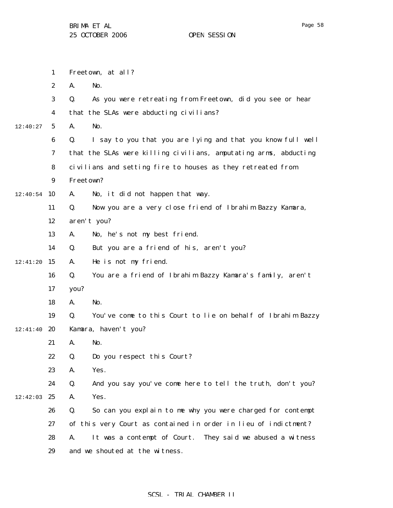|          | $\mathbf{1}$     | Freetown, at all?                                                 |
|----------|------------------|-------------------------------------------------------------------|
|          | $\boldsymbol{2}$ | No.<br>A.                                                         |
|          | 3                | As you were retreating from Freetown, did you see or hear<br>Q.   |
|          | 4                | that the SLAs were abducting civilians?                           |
| 12:40:27 | $5\phantom{.0}$  | No.<br>A.                                                         |
|          | $\boldsymbol{6}$ | I say to you that you are lying and that you know full well<br>Q. |
|          | 7                | that the SLAs were killing civilians, amputating arms, abducting  |
|          | 8                | civilians and setting fire to houses as they retreated from       |
|          | $\boldsymbol{9}$ | Freetown?                                                         |
| 12:40:54 | 10               | No, it did not happen that way.<br>A.                             |
|          | 11               | Now you are a very close friend of Ibrahim Bazzy Kamara,<br>Q.    |
|          | 12               | aren't you?                                                       |
|          | 13               | No, he's not my best friend.<br>A.                                |
|          | 14               | Q.<br>But you are a friend of his, aren't you?                    |
| 12:41:20 | 15               | He is not my friend.<br>A.                                        |
|          | 16               | You are a friend of Ibrahim Bazzy Kamara's family, aren't<br>Q.   |
|          | 17               | you?                                                              |
|          | 18               | No.<br>A.                                                         |
|          | 19               | You've come to this Court to lie on behalf of Ibrahim Bazzy<br>Q. |
| 12:41:40 | 20               | Kamara, haven't you?                                              |
|          | 21               | A.<br>No.                                                         |
|          | 22               | Q.<br>Do you respect this Court?                                  |
|          | 23               | Yes.<br>A.                                                        |
|          | 24               | Q.<br>And you say you've come here to tell the truth, don't you?  |
| 12:42:03 | 25               | Yes.<br>A.                                                        |
|          | 26               | So can you explain to me why you were charged for contempt<br>Q.  |
|          | 27               | of this very Court as contained in order in lieu of indictment?   |
|          | 28               | It was a contempt of Court. They said we abused a witness<br>A.   |
|          | 29               | and we shouted at the witness.                                    |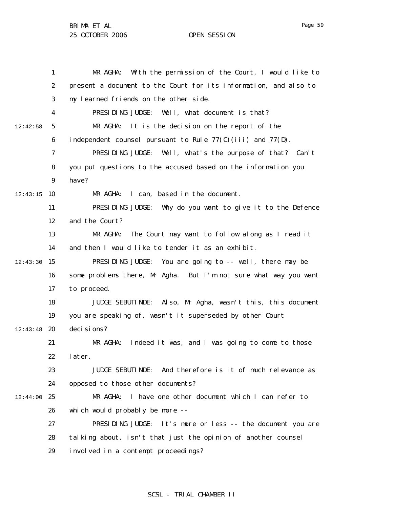1 2 3 4 5 6 7 8 9  $12:43:15$  10 11 12 13 14  $12:43:30$  15 16 17 18 19  $12:43:48$  20 21 22 23 24 12:44:00 25 26 27 28 29 12:42:58 MR AGHA: With the permission of the Court, I would like to present a document to the Court for its information, and also to my learned friends on the other side. PRESIDING JUDGE: Well, what document is that? MR AGHA: It is the decision on the report of the independent counsel pursuant to Rule 77(C)(iii) and 77(D). PRESIDING JUDGE: Well, what's the purpose of that? Can't you put questions to the accused based on the information you have? MR AGHA: I can, based in the document. PRESIDING JUDGE: Why do you want to give it to the Defence and the Court? MR AGHA: The Court may want to follow along as I read it and then I would like to tender it as an exhibit. PRESIDING JUDGE: You are going to -- well, there may be some problems there, Mr Agha. But I'm not sure what way you want to proceed. JUDGE SEBUTINDE: Also, Mr Agha, wasn't this, this document you are speaking of, wasn't it superseded by other Court deci si ons? MR AGHA: Indeed it was, and I was going to come to those later. JUDGE SEBUTINDE: And therefore is it of much relevance as opposed to those other documents? MR AGHA: I have one other document which I can refer to which would probably be more -- PRESIDING JUDGE: It's more or less -- the document you are talking about, isn't that just the opinion of another counsel involved in a contempt proceedings?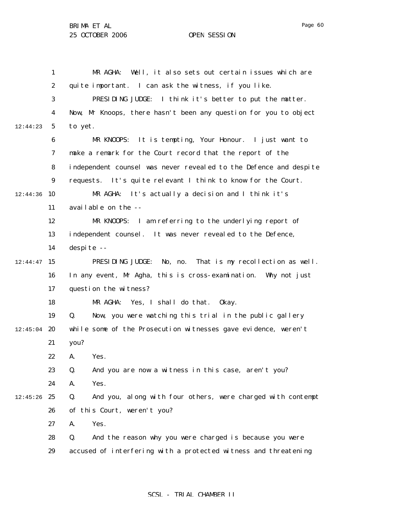|          | $\mathbf{1}$     | Well, it also sets out certain issues which are<br>MR AGHA:       |
|----------|------------------|-------------------------------------------------------------------|
|          | $\boldsymbol{2}$ | quite important. I can ask the witness, if you like.              |
|          | 3                | PRESIDING JUDGE: I think it's better to put the matter.           |
|          | $\boldsymbol{4}$ | Now, Mr Knoops, there hasn't been any question for you to object  |
| 12:44:23 | $\mathbf 5$      | to yet.                                                           |
|          | $\boldsymbol{6}$ | MR KNOOPS: It is tempting, Your Honour. I just want to            |
|          | 7                | make a remark for the Court record that the report of the         |
|          | 8                | independent counsel was never revealed to the Defence and despite |
|          | $\boldsymbol{9}$ | It's quite relevant I think to know for the Court.<br>requests.   |
| 12:44:36 | 10               | MR AGHA: It's actually a decision and I think it's                |
|          | 11               | available on the --                                               |
|          | 12               | MR KNOOPS: I am referring to the underlying report of             |
|          | 13               | independent counsel. It was never revealed to the Defence,        |
|          | 14               | despite --                                                        |
| 12:44:47 | 15               | PRESIDING JUDGE:<br>No, no.<br>That is my recollection as well.   |
|          | 16               | In any event, Mr Agha, this is cross-examination. Why not just    |
|          | 17               | question the witness?                                             |
|          | 18               | Yes, I shall do that.<br>MR AGHA:<br>0kay.                        |
|          | 19               | Q.<br>Now, you were watching this trial in the public gallery     |
| 12:45:04 | 20               | while some of the Prosecution witnesses gave evidence, weren't    |
|          | 21               | you?                                                              |
|          | 22               | Yes.<br><b>A.</b>                                                 |
|          | 23               | Q.<br>And you are now a witness in this case, aren't you?         |
|          | 24               | Yes.<br>A.                                                        |
| 12:45:26 | 25               | And you, along with four others, were charged with contempt<br>Q. |
|          | 26               | of this Court, weren't you?                                       |
|          | 27               | A.<br>Yes.                                                        |
|          | 28               | And the reason why you were charged is because you were<br>Q.     |
|          | 29               | accused of interfering with a protected witness and threatening   |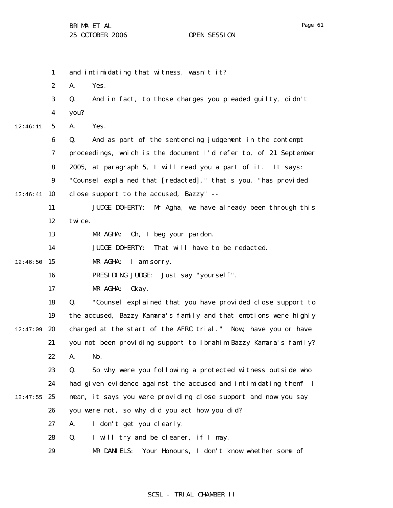|          | $\mathbf{1}$     | and intimidating that witness, wasn't it?                            |
|----------|------------------|----------------------------------------------------------------------|
|          | $\boldsymbol{2}$ | A.<br>Yes.                                                           |
|          | 3                | And in fact, to those charges you pleaded guilty, didn't<br>Q.       |
|          | $\boldsymbol{4}$ | you?                                                                 |
| 12:46:11 | $5\phantom{.0}$  | A.<br>Yes.                                                           |
|          | 6                | Q.<br>And as part of the sentencing judgement in the contempt        |
|          | 7                | proceedings, which is the document I'd refer to, of 21 September     |
|          | 8                | 2005, at paragraph 5, I will read you a part of it. It says:         |
|          | $\boldsymbol{9}$ | "Counsel explained that [redacted]," that's you, "has provided       |
| 12:46:41 | 10               | close support to the accused, Bazzy" --                              |
|          | 11               | <b>JUDGE DOHERTY:</b><br>Mr Agha, we have al ready been through this |
|          | 12               | twice.                                                               |
|          | 13               | 0h, I beg your pardon.<br>MR AGHA:                                   |
|          | 14               | JUDGE DOHERTY: That will have to be redacted.                        |
| 12:46:50 | 15               | MR AGHA:<br>I am sorry.                                              |
|          | 16               | PRESIDING JUDGE:<br>Just say "yourself".                             |
|          | 17               | MR AGHA:<br>0kay.                                                    |
|          | 18               | "Counsel explained that you have provided close support to<br>Q.     |
|          | 19               | the accused, Bazzy Kamara's family and that emotions were highly     |
| 12:47:09 | 20               | charged at the start of the AFRC trial." Now, have you or have       |
|          | 21               | you not been providing support to Ibrahim Bazzy Kamara's family?     |
|          | 22               | A.<br>No.                                                            |
|          | 23               | So why were you following a protected witness outside who<br>Q.      |
|          | 24               | had given evidence against the accused and intimidating them? I      |
| 12:47:55 | 25               | mean, it says you were providing close support and now you say       |
|          | 26               | you were not, so why did you act how you did?                        |
|          | 27               | A.<br>I don't get you clearly.                                       |
|          | 28               | Q.<br>I will try and be clearer, if I may.                           |
|          | 29               | MR DANIELS: Your Honours, I don't know whether some of               |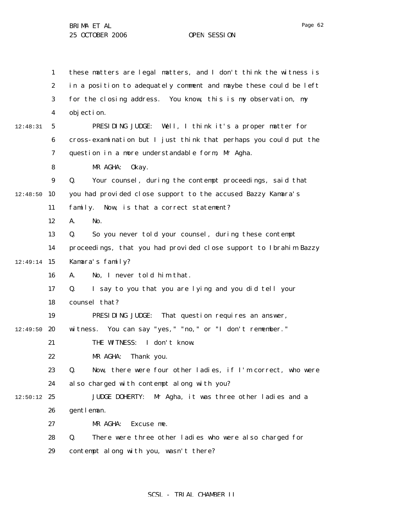1 2 3 4 5 6 7 8 9  $12:48:50$  10 11 12 13 14 12:49:14 15 16 17 18 19  $12:49:50$  20 21 22 23 24  $12:50:12$  25 26 27 28 29 12:48:31 these matters are legal matters, and I don't think the witness is in a position to adequately comment and maybe these could be left for the closing address. You know, this is my observation, my objection. PRESIDING JUDGE: Well, I think it's a proper matter for cross-examination but I just think that perhaps you could put the question in a more understandable form, Mr Agha. MR AGHA: Okay. Q. Your counsel, during the contempt proceedings, said that you had provided close support to the accused Bazzy Kamara's family. Now, is that a correct statement? A. No. Q. So you never told your counsel, during these contempt proceedings, that you had provided close support to Ibrahim Bazzy Kamara's family? A. No, I never told him that. Q. I say to you that you are lying and you did tell your counsel that? PRESIDING JUDGE: That question requires an answer, witness. You can say "yes," "no," or "I don't remember." THE WITNESS: I don't know. MR AGHA: Thank you. Q. Now, there were four other ladies, if I'm correct, who were also charged with contempt along with you? JUDGE DOHERTY: Mr Agha, it was three other ladies and a gentleman. MR AGHA: Excuse me. Q. There were three other ladies who were also charged for contempt along with you, wasn't there?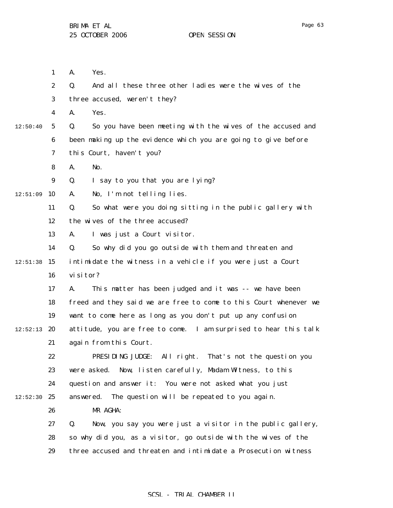1 2 3 4 5 6 7 8 9  $12:51:09$  10 11 12 13 14  $12:51:38$  15 16 17 18 19  $12:52:13$  20 21 22 23 24  $12:52:30$  25 26 27 28 29 12:50:40 A. Yes. Q. And all these three other ladies were the wives of the three accused, weren't they? A. Yes. Q. So you have been meeting with the wives of the accused and been making up the evidence which you are going to give before this Court, haven't you? A. No. Q. I say to you that you are lying? A. No, I'm not telling lies. Q. So what were you doing sitting in the public gallery with the wives of the three accused? A. I was just a Court visitor. Q. So why did you go outside with them and threaten and intimidate the witness in a vehicle if you were just a Court visitor? A. This matter has been judged and it was -- we have been freed and they said we are free to come to this Court whenever we want to come here as long as you don't put up any confusion attitude, you are free to come. I am surprised to hear this talk again from this Court. PRESIDING JUDGE: All right. That's not the question you were asked. Now, listen carefully, Madam Witness, to this question and answer it: You were not asked what you just answered. The question will be repeated to you again. MR AGHA: Q. Now, you say you were just a visitor in the public gallery, so why did you, as a visitor, go outside with the wives of the three accused and threaten and intimidate a Prosecution witness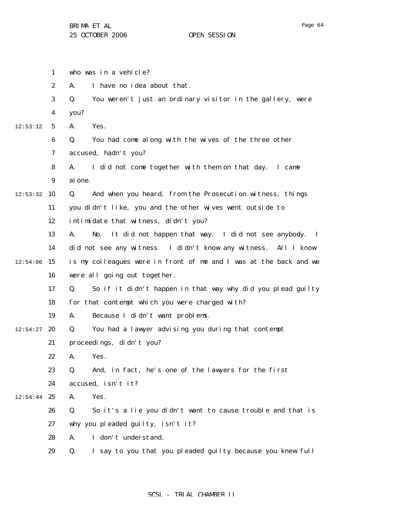|          | $\mathbf{1}$     | who was in a vehicle?                                             |
|----------|------------------|-------------------------------------------------------------------|
|          | $\boldsymbol{2}$ | I have no idea about that.<br>A.                                  |
|          | 3                | You weren't just an ordinary visitor in the gallery, were<br>Q.   |
|          | 4                | you?                                                              |
| 12:53:12 | $\sqrt{5}$       | Yes.<br>A.                                                        |
|          | 6                | You had come along with the wives of the three other<br>Q.        |
|          | 7                | accused, hadn't you?                                              |
|          | 8                | I did not come together with them on that day. I came<br>A.       |
|          | $\boldsymbol{9}$ | al one.                                                           |
| 12:53:32 | 10               | And when you heard, from the Prosecution witness, things<br>Q.    |
|          | 11               | you didn't like, you and the other wives went outside to          |
|          | 12               | intimidate that witness, didn't you?                              |
|          | 13               | It did not happen that way. I did not see anybody. I<br>A.<br>No. |
|          | 14               | did not see any witness. I didn't know any witness. All I know    |
| 12:54:06 | 15               | is my colleagues were in front of me and I was at the back and we |
|          | 16               | were all going out together.                                      |
|          | 17               | So if it didn't happen in that way why did you plead guilty<br>Q. |
|          | 18               | for that contempt which you were charged with?                    |
|          | 19               | Because I didn't want problems.<br>A.                             |
| 12:54:27 | 20               | You had a lawyer advising you during that contempt<br>Q.          |
|          | 21               | proceedings, didn't you?                                          |
|          | 22               | A. Yes.                                                           |
|          | 23               | And, in fact, he's one of the lawyers for the first<br>Q.         |
|          | 24               | accused, isn't it?                                                |
| 12:54:44 | 25               | Yes.<br>A.                                                        |
|          | 26               | Q.<br>So it's a lie you didn't want to cause trouble and that is  |
|          | 27               | why you pleaded guilty, isn't it?                                 |
|          | 28               | I don't understand.<br>A.                                         |
|          | 29               | I say to you that you pleaded guilty because you knew full<br>Q.  |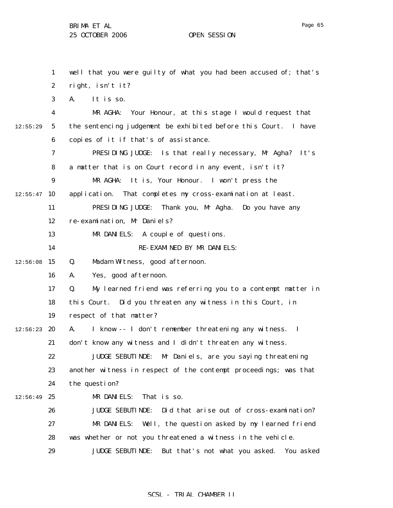1 2 3 4 5 6 7 8 9  $12:55:47$  10 11 12 13 14  $12:56:08$  15 16 17 18 19  $12:56:23$  20 21 22 23 24  $12:56:49$  25 26 27 28 29 12:55:29 well that you were guilty of what you had been accused of; that's right, isn't it? A. It is so. MR AGHA: Your Honour, at this stage I would request that the sentencing judgement be exhibited before this Court. I have copies of it if that's of assistance. PRESIDING JUDGE: Is that really necessary, Mr Agha? It's a matter that is on Court record in any event, isn't it? MR AGHA: It is, Your Honour. I won't press the application. That completes my cross-examination at least. PRESIDING JUDGE: Thank you, Mr Agha. Do you have any re-examination, Mr Daniels? MR DANIELS: A couple of questions. RE-EXAMINED BY MR DANIELS: Q. Madam Witness, good afternoon. A. Yes, good afternoon. Q. My learned friend was referring you to a contempt matter in this Court. Did you threaten any witness in this Court, in respect of that matter? A. I know -- I don't remember threatening any witness. I don't know any witness and I didn't threaten any witness. JUDGE SEBUTINDE: Mr Daniels, are you saying threatening another witness in respect of the contempt proceedings; was that the question? MR DANIELS: That is so. JUDGE SEBUTINDE: Did that arise out of cross-examination? MR DANIELS: Well, the question asked by my learned friend was whether or not you threatened a witness in the vehicle. JUDGE SEBUTINDE: But that's not what you asked. You asked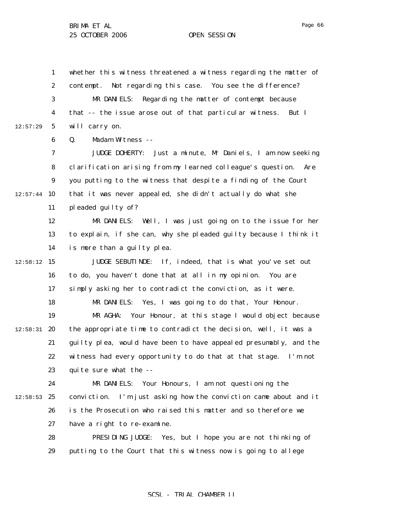1 2 3 4 5 6 12:57:29 whether this witness threatened a witness regarding the matter of contempt. Not regarding this case. You see the difference? MR DANIELS: Regarding the matter of contempt because that -- the issue arose out of that particular witness. But I will carry on.

Q. Madam Witness --

7 8 9  $12:57:44$  10 11 JUDGE DOHERTY: Just a minute, Mr Daniels, I am now seeking clarification arising from my learned colleague's question. Are you putting to the witness that despite a finding of the Court that it was never appealed, she didn't actually do what she pleaded guilty of?

> 12 13 14 MR DANIELS: Well, I was just going on to the issue for her to explain, if she can, why she pleaded guilty because I think it is more than a guilty plea.

 $12:58:12$  15 16 17 18 19  $12:58:31$  20 21 22 23 JUDGE SEBUTINDE: If, indeed, that is what you've set out to do, you haven't done that at all in my opinion. You are simply asking her to contradict the conviction, as it were. MR DANIELS: Yes, I was going to do that, Your Honour. MR AGHA: Your Honour, at this stage I would object because the appropriate time to contradict the decision, well, it was a guilty plea, would have been to have appealed presumably, and the witness had every opportunity to do that at that stage. I'm not quite sure what the --

24  $12:58:53$  25 26 27 MR DANIELS: Your Honours, I am not questioning the conviction. I'm just asking how the conviction came about and it is the Prosecution who raised this matter and so therefore we have a right to re-examine.

> 28 29 PRESIDING JUDGE: Yes, but I hope you are not thinking of putting to the Court that this witness now is going to allege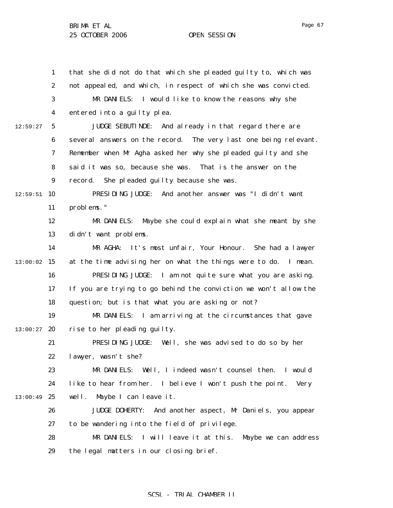1 2 3 4 5 6 7 8 9  $12:59:51$  10 11 12 13 14 13:00:02 15 16 17 18 19  $13:00:27$  20 21 22 23 24  $13:00:49$  25 26 27 28 29 12:59:27 that she did not do that which she pleaded guilty to, which was not appealed, and which, in respect of which she was convicted. MR DANIELS: I would like to know the reasons why she entered into a guilty plea. JUDGE SEBUTINDE: And already in that regard there are several answers on the record. The very last one being relevant. Remember when Mr Agha asked her why she pleaded guilty and she said it was so, because she was. That is the answer on the record. She pleaded guilty because she was. PRESIDING JUDGE: And another answer was "I didn't want problems." MR DANIELS: Maybe she could explain what she meant by she didn't want problems. MR AGHA: It's most unfair, Your Honour. She had a lawyer at the time advising her on what the things were to do. I mean. PRESIDING JUDGE: I am not quite sure what you are asking. If you are trying to go behind the conviction we won't allow the question; but is that what you are asking or not? MR DANIELS: I am arriving at the circumstances that gave rise to her pleading guilty. PRESIDING JUDGE: Well, she was advised to do so by her lawyer, wasn't she? MR DANIELS: Well, I indeed wasn't counsel then. I would like to hear from her. I believe I won't push the point. Very well. Maybe I can leave it. JUDGE DOHERTY: And another aspect, Mr Daniels, you appear to be wandering into the field of privilege. MR DANIELS: I will leave it at this. Maybe we can address the legal matters in our closing brief.

# SCSL - TRIAL CHAMBER II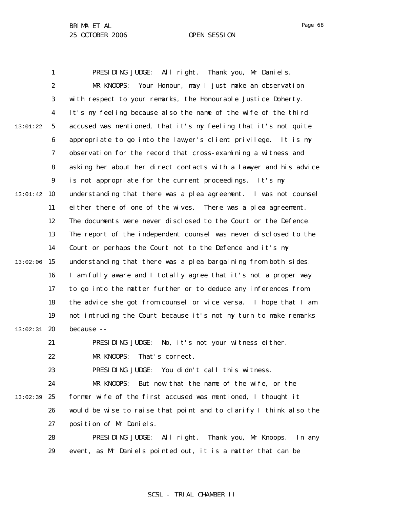1 2 3 4 5 6 7 8 9  $13:01:42$  10 11 12 13 14  $13:02:06$  15 16 17 18 19  $13:02:31$  20 21 22 23 24 13:02:39 25 26 27 28 29 13:01:22 PRESIDING JUDGE: All right. Thank you, Mr Daniels. MR KNOOPS: Your Honour, may I just make an observation with respect to your remarks, the Honourable Justice Doherty. It's my feeling because also the name of the wife of the third accused was mentioned, that it's my feeling that it's not quite appropriate to go into the lawyer's client privilege. It is my observation for the record that cross-examining a witness and asking her about her direct contacts with a lawyer and his advice is not appropriate for the current proceedings. It's my understanding that there was a plea agreement. I was not counsel either there of one of the wives. There was a plea agreement. The documents were never disclosed to the Court or the Defence. The report of the independent counsel was never disclosed to the Court or perhaps the Court not to the Defence and it's my understanding that there was a plea bargaining from both sides. I am fully aware and I totally agree that it's not a proper way to go into the matter further or to deduce any inferences from the advice she got from counsel or vice versa. I hope that I am not intruding the Court because it's not my turn to make remarks because -- PRESIDING JUDGE: No, it's not your witness either. MR KNOOPS: That's correct. PRESIDING JUDGE: You didn't call this witness. MR KNOOPS: But now that the name of the wife, or the former wife of the first accused was mentioned, I thought it would be wise to raise that point and to clarify I think also the position of Mr Daniels. PRESIDING JUDGE: All right. Thank you, Mr Knoops. In any event, as Mr Daniels pointed out, it is a matter that can be

SCSL - TRIAL CHAMBER II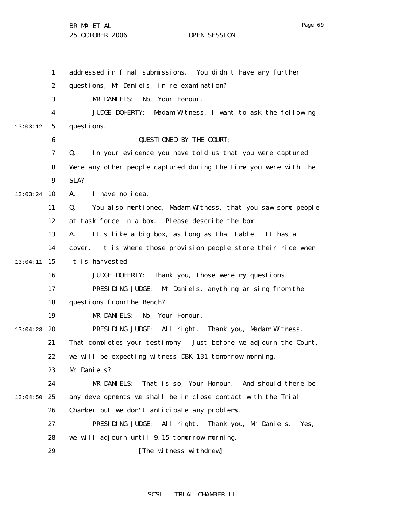1 2 3 4 5 6 7 8 9  $13:03:24$  10 11 12 13 14 15 13:04:11 16 17 18 19  $13:04:28$  20 21 22 23 24  $13:04:50$  25 26 27 28 29 13:03:12 addressed in final submissions. You didn't have any further questions, Mr Daniels, in re-examination? MR DANIELS: No, Your Honour. JUDGE DOHERTY: Madam Witness, I want to ask the following questions. QUESTIONED BY THE COURT: Q. In your evidence you have told us that you were captured. Were any other people captured during the time you were with the SLA? A. I have no idea. Q. You also mentioned, Madam Witness, that you saw some people at task force in a box. Please describe the box. A. It's like a big box, as long as that table. It has a cover. It is where those provision people store their rice when it is harvested. JUDGE DOHERTY: Thank you, those were my questions. PRESIDING JUDGE: Mr Daniels, anything arising from the questions from the Bench? MR DANIELS: No, Your Honour. PRESIDING JUDGE: All right. Thank you, Madam Witness. That completes your testimony. Just before we adjourn the Court, we will be expecting witness DBK-131 tomorrow morning, Mr Daniels? MR DANIELS: That is so, Your Honour. And should there be any developments we shall be in close contact with the Trial Chamber but we don't anticipate any problems. PRESIDING JUDGE: All right. Thank you, Mr Daniels. Yes, we will adjourn until 9.15 tomorrow morning. [The witness withdrew]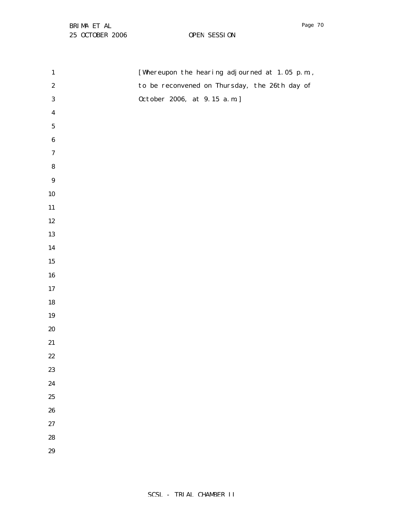| $\mathbf{1}$     | [Whereupon the hearing adjourned at 1.05 p.m., |
|------------------|------------------------------------------------|
| $\boldsymbol{2}$ | to be reconvened on Thursday, the 26th day of  |
| $\bf 3$          | 0ctober 2006, at 9.15 a.m.]                    |
| $\boldsymbol{4}$ |                                                |
| ${\bf 5}$        |                                                |
| $\bf 6$          |                                                |
| $\boldsymbol{7}$ |                                                |
| ${\bf 8}$        |                                                |
| $\boldsymbol{9}$ |                                                |
| ${\bf 10}$       |                                                |
| ${\bf 11}$       |                                                |
| $12\,$           |                                                |
| 13               |                                                |
| 14               |                                                |
| $15\,$           |                                                |
| ${\bf 16}$       |                                                |
| $17\,$           |                                                |
| 18               |                                                |
| 19               |                                                |
| $20\,$           |                                                |
| 21               |                                                |
| $22\,$           |                                                |
| 23               |                                                |
| 24               |                                                |
| 25               |                                                |
| 26               |                                                |
| 27               |                                                |
| 28               |                                                |
| 29               |                                                |